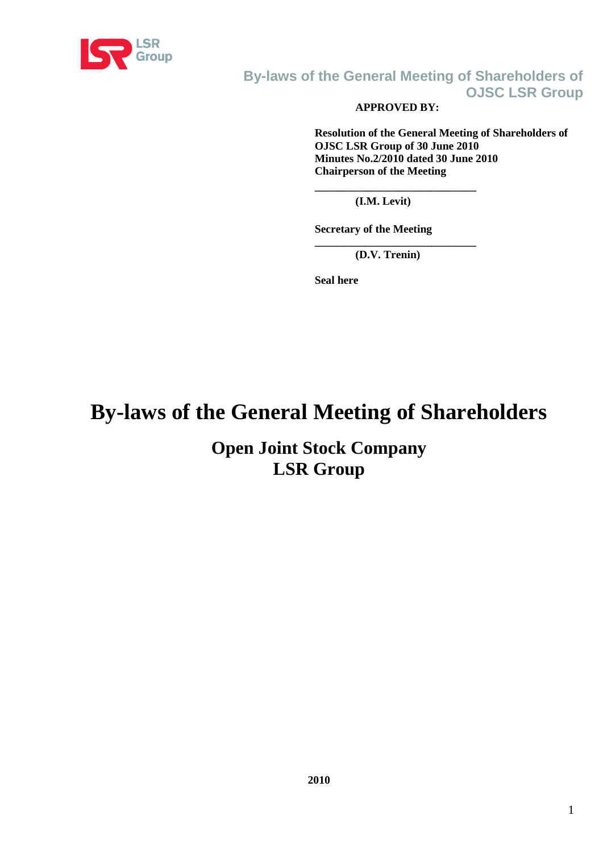

# **APPROVED BY:**

**Resolution of the General Meeting of Shareholders of OJSC LSR Group of 30 June 2010 Minutes No.2/2010 dated 30 June 2010 Chairperson of the Meeting**

**(I.M. Levit)**

**\_\_\_\_\_\_\_\_\_\_\_\_\_\_\_\_\_\_\_\_\_\_\_\_\_\_\_\_\_**

**Secretary of the Meeting**

**\_\_\_\_\_\_\_\_\_\_\_\_\_\_\_\_\_\_\_\_\_\_\_\_\_\_\_\_\_ (D.V. Trenin)**

**Seal here**

# **By-laws of the General Meeting of Shareholders**

**Open Joint Stock Company LSR Group**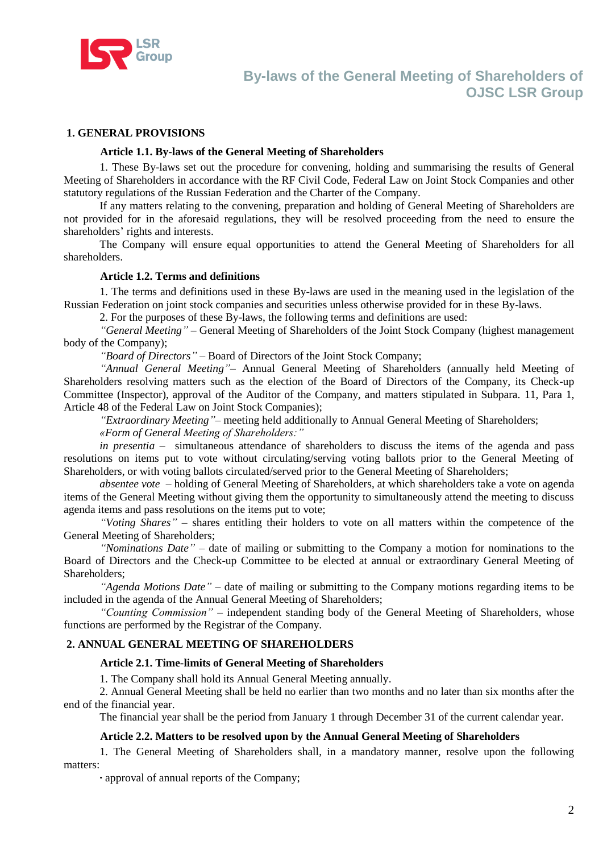

#### **1. GENERAL PROVISIONS**

#### **Article 1.1. By-laws of the General Meeting of Shareholders**

1. These By-laws set out the procedure for convening, holding and summarising the results of General Meeting of Shareholders in accordance with the RF Civil Code, Federal Law on Joint Stock Companies and other statutory regulations of the Russian Federation and the Charter of the Company.

If any matters relating to the convening, preparation and holding of General Meeting of Shareholders are not provided for in the aforesaid regulations, they will be resolved proceeding from the need to ensure the shareholders' rights and interests.

The Company will ensure equal opportunities to attend the General Meeting of Shareholders for all shareholders.

#### **Article 1.2. Terms and definitions**

1. The terms and definitions used in these By-laws are used in the meaning used in the legislation of the Russian Federation on joint stock companies and securities unless otherwise provided for in these By-laws.

2. For the purposes of these By-laws, the following terms and definitions are used:

*―General Meeting‖* – General Meeting of Shareholders of the Joint Stock Company (highest management body of the Company);

*"Board of Directors"* – Board of Directors of the Joint Stock Company;

"Annual General Meeting"- Annual General Meeting of Shareholders (annually held Meeting of Shareholders resolving matters such as the election of the Board of Directors of the Company, its Check-up Committee (Inspector), approval of the Auditor of the Company, and matters stipulated in Subpara. 11, Para 1, Article 48 of the Federal Law on Joint Stock Companies);

*"Extraordinary Meeting* "– meeting held additionally to Annual General Meeting of Shareholders;

*«Form of General Meeting of Shareholders:‖*

*in presentia –* simultaneous attendance of shareholders to discuss the items of the agenda and pass resolutions on items put to vote without circulating/serving voting ballots prior to the General Meeting of Shareholders, or with voting ballots circulated/served prior to the General Meeting of Shareholders;

*absentee vote –* holding of General Meeting of Shareholders, at which shareholders take a vote on agenda items of the General Meeting without giving them the opportunity to simultaneously attend the meeting to discuss agenda items and pass resolutions on the items put to vote;

*―Voting Shares‖ –* shares entitling their holders to vote on all matters within the competence of the General Meeting of Shareholders;

*―Nominations Date‖ –* date of mailing or submitting to the Company a motion for nominations to the Board of Directors and the Check-up Committee to be elected at annual or extraordinary General Meeting of Shareholders;

*―Agenda Motions Date‖ –* date of mailing or submitting to the Company motions regarding items to be included in the agenda of the Annual General Meeting of Shareholders;

*―Counting Commission‖ –* independent standing body of the General Meeting of Shareholders, whose functions are performed by the Registrar of the Company.

#### **2. ANNUAL GENERAL MEETING OF SHAREHOLDERS**

#### **Article 2.1. Time-limits of General Meeting of Shareholders**

1. The Company shall hold its Annual General Meeting annually.

2. Annual General Meeting shall be held no earlier than two months and no later than six months after the end of the financial year.

The financial year shall be the period from January 1 through December 31 of the current calendar year.

#### **Article 2.2. Matters to be resolved upon by the Annual General Meeting of Shareholders**

1. The General Meeting of Shareholders shall, in a mandatory manner, resolve upon the following matters:

**·** approval of annual reports of the Company;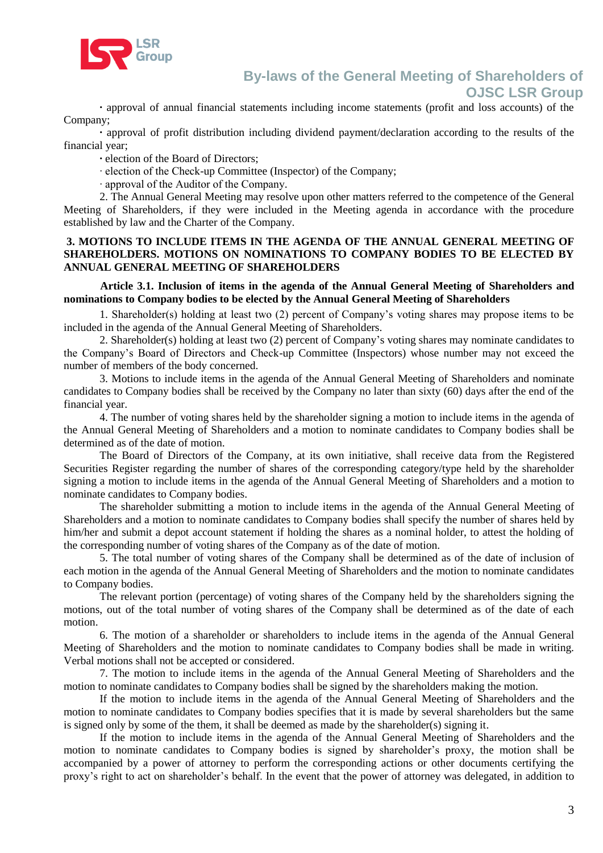

**·** approval of annual financial statements including income statements (profit and loss accounts) of the Company;

**·** approval of profit distribution including dividend payment/declaration according to the results of the financial year;

**·** election of the Board of Directors;

· election of the Check-up Committee (Inspector) of the Company;

· approval of the Auditor of the Company.

2. The Annual General Meeting may resolve upon other matters referred to the competence of the General Meeting of Shareholders, if they were included in the Meeting agenda in accordance with the procedure established by law and the Charter of the Company.

#### **3. MOTIONS TO INCLUDE ITEMS IN THE AGENDA OF THE ANNUAL GENERAL MEETING OF SHAREHOLDERS. MOTIONS ON NOMINATIONS TO COMPANY BODIES TO BE ELECTED BY ANNUAL GENERAL MEETING OF SHAREHOLDERS**

#### **Article 3.1. Inclusion of items in the agenda of the Annual General Meeting of Shareholders and nominations to Company bodies to be elected by the Annual General Meeting of Shareholders**

1. Shareholder(s) holding at least two (2) percent of Company's voting shares may propose items to be included in the agenda of the Annual General Meeting of Shareholders.

2. Shareholder(s) holding at least two (2) percent of Company's voting shares may nominate candidates to the Company's Board of Directors and Check-up Committee (Inspectors) whose number may not exceed the number of members of the body concerned.

3. Motions to include items in the agenda of the Annual General Meeting of Shareholders and nominate candidates to Company bodies shall be received by the Company no later than sixty (60) days after the end of the financial year.

4. The number of voting shares held by the shareholder signing a motion to include items in the agenda of the Annual General Meeting of Shareholders and a motion to nominate candidates to Company bodies shall be determined as of the date of motion.

The Board of Directors of the Company, at its own initiative, shall receive data from the Registered Securities Register regarding the number of shares of the corresponding category/type held by the shareholder signing a motion to include items in the agenda of the Annual General Meeting of Shareholders and a motion to nominate candidates to Company bodies.

The shareholder submitting a motion to include items in the agenda of the Annual General Meeting of Shareholders and a motion to nominate candidates to Company bodies shall specify the number of shares held by him/her and submit a depot account statement if holding the shares as a nominal holder, to attest the holding of the corresponding number of voting shares of the Company as of the date of motion.

5. The total number of voting shares of the Company shall be determined as of the date of inclusion of each motion in the agenda of the Annual General Meeting of Shareholders and the motion to nominate candidates to Company bodies.

The relevant portion (percentage) of voting shares of the Company held by the shareholders signing the motions, out of the total number of voting shares of the Company shall be determined as of the date of each motion.

6. The motion of a shareholder or shareholders to include items in the agenda of the Annual General Meeting of Shareholders and the motion to nominate candidates to Company bodies shall be made in writing. Verbal motions shall not be accepted or considered.

7. The motion to include items in the agenda of the Annual General Meeting of Shareholders and the motion to nominate candidates to Company bodies shall be signed by the shareholders making the motion.

If the motion to include items in the agenda of the Annual General Meeting of Shareholders and the motion to nominate candidates to Company bodies specifies that it is made by several shareholders but the same is signed only by some of the them, it shall be deemed as made by the shareholder(s) signing it.

If the motion to include items in the agenda of the Annual General Meeting of Shareholders and the motion to nominate candidates to Company bodies is signed by shareholder's proxy, the motion shall be accompanied by a power of attorney to perform the corresponding actions or other documents certifying the proxy's right to act on shareholder's behalf. In the event that the power of attorney was delegated, in addition to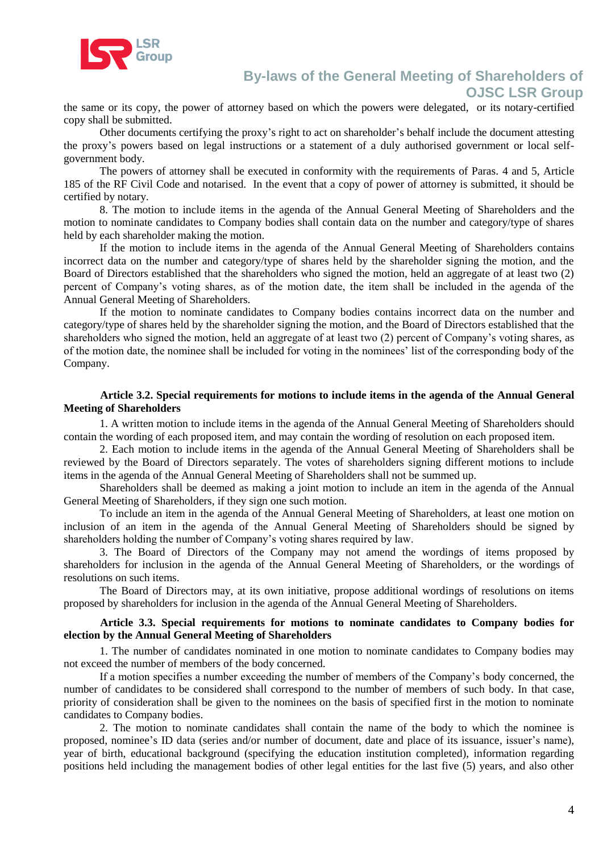

the same or its copy, the power of attorney based on which the powers were delegated, or its notary-certified copy shall be submitted.

Other documents certifying the proxy's right to act on shareholder's behalf include the document attesting the proxy's powers based on legal instructions or a statement of a duly authorised government or local selfgovernment body.

The powers of attorney shall be executed in conformity with the requirements of Paras. 4 and 5, Article 185 of the RF Civil Code and notarised. In the event that a copy of power of attorney is submitted, it should be certified by notary.

8. The motion to include items in the agenda of the Annual General Meeting of Shareholders and the motion to nominate candidates to Company bodies shall contain data on the number and category/type of shares held by each shareholder making the motion.

If the motion to include items in the agenda of the Annual General Meeting of Shareholders contains incorrect data on the number and category/type of shares held by the shareholder signing the motion, and the Board of Directors established that the shareholders who signed the motion, held an aggregate of at least two (2) percent of Company's voting shares, as of the motion date, the item shall be included in the agenda of the Annual General Meeting of Shareholders.

If the motion to nominate candidates to Company bodies contains incorrect data on the number and category/type of shares held by the shareholder signing the motion, and the Board of Directors established that the shareholders who signed the motion, held an aggregate of at least two (2) percent of Company's voting shares, as of the motion date, the nominee shall be included for voting in the nominees' list of the corresponding body of the Company.

#### **Article 3.2. Special requirements for motions to include items in the agenda of the Annual General Meeting of Shareholders**

1. A written motion to include items in the agenda of the Annual General Meeting of Shareholders should contain the wording of each proposed item, and may contain the wording of resolution on each proposed item.

2. Each motion to include items in the agenda of the Annual General Meeting of Shareholders shall be reviewed by the Board of Directors separately. The votes of shareholders signing different motions to include items in the agenda of the Annual General Meeting of Shareholders shall not be summed up.

Shareholders shall be deemed as making a joint motion to include an item in the agenda of the Annual General Meeting of Shareholders, if they sign one such motion.

To include an item in the agenda of the Annual General Meeting of Shareholders, at least one motion on inclusion of an item in the agenda of the Annual General Meeting of Shareholders should be signed by shareholders holding the number of Company's voting shares required by law.

3. The Board of Directors of the Company may not amend the wordings of items proposed by shareholders for inclusion in the agenda of the Annual General Meeting of Shareholders, or the wordings of resolutions on such items.

The Board of Directors may, at its own initiative, propose additional wordings of resolutions on items proposed by shareholders for inclusion in the agenda of the Annual General Meeting of Shareholders.

#### **Article 3.3. Special requirements for motions to nominate candidates to Company bodies for election by the Annual General Meeting of Shareholders**

1. The number of candidates nominated in one motion to nominate candidates to Company bodies may not exceed the number of members of the body concerned.

If a motion specifies a number exceeding the number of members of the Company's body concerned, the number of candidates to be considered shall correspond to the number of members of such body. In that case, priority of consideration shall be given to the nominees on the basis of specified first in the motion to nominate candidates to Company bodies.

2. The motion to nominate candidates shall contain the name of the body to which the nominee is proposed, nominee's ID data (series and/or number of document, date and place of its issuance, issuer's name), year of birth, educational background (specifying the education institution completed), information regarding positions held including the management bodies of other legal entities for the last five (5) years, and also other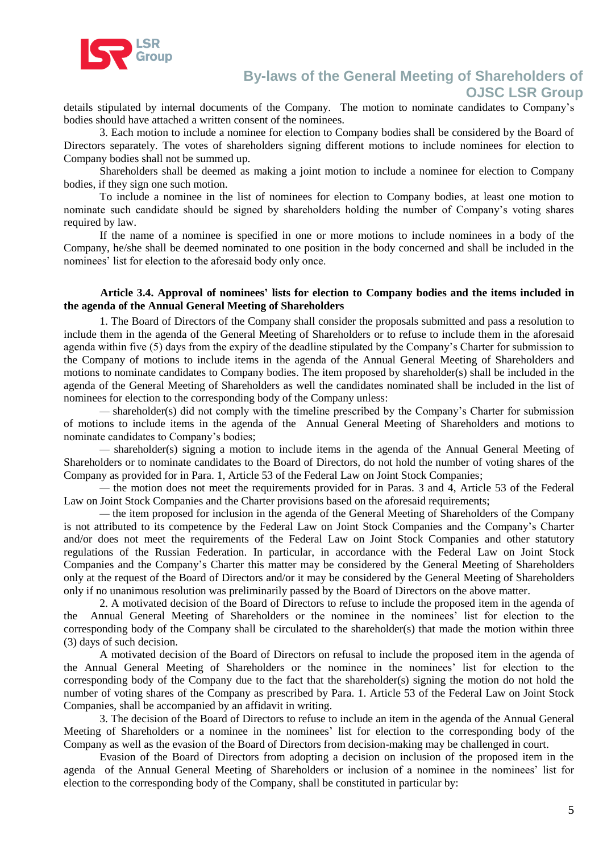

details stipulated by internal documents of the Company. The motion to nominate candidates to Company's bodies should have attached a written consent of the nominees.

3. Each motion to include a nominee for election to Company bodies shall be considered by the Board of Directors separately. The votes of shareholders signing different motions to include nominees for election to Company bodies shall not be summed up.

Shareholders shall be deemed as making a joint motion to include a nominee for election to Company bodies, if they sign one such motion.

To include a nominee in the list of nominees for election to Company bodies, at least one motion to nominate such candidate should be signed by shareholders holding the number of Company's voting shares required by law.

If the name of a nominee is specified in one or more motions to include nominees in a body of the Company, he/she shall be deemed nominated to one position in the body concerned and shall be included in the nominees' list for election to the aforesaid body only once.

#### **Article 3.4. Approval of nominees' lists for election to Company bodies and the items included in the agenda of the Annual General Meeting of Shareholders**

1. The Board of Directors of the Company shall consider the proposals submitted and pass a resolution to include them in the agenda of the General Meeting of Shareholders or to refuse to include them in the aforesaid agenda within five (5) days from the expiry of the deadline stipulated by the Company's Charter for submission to the Company of motions to include items in the agenda of the Annual General Meeting of Shareholders and motions to nominate candidates to Company bodies. The item proposed by shareholder(s) shall be included in the agenda of the General Meeting of Shareholders as well the candidates nominated shall be included in the list of nominees for election to the corresponding body of the Company unless:

*—* shareholder(s) did not comply with the timeline prescribed by the Company's Charter for submission of motions to include items in the agenda of the Annual General Meeting of Shareholders and motions to nominate candidates to Company's bodies;

*—* shareholder(s) signing a motion to include items in the agenda of the Annual General Meeting of Shareholders or to nominate candidates to the Board of Directors, do not hold the number of voting shares of the Company as provided for in Para. 1, Article 53 of the Federal Law on Joint Stock Companies;

*—* the motion does not meet the requirements provided for in Paras. 3 and 4, Article 53 of the Federal Law on Joint Stock Companies and the Charter provisions based on the aforesaid requirements;

*—* the item proposed for inclusion in the agenda of the General Meeting of Shareholders of the Company is not attributed to its competence by the Federal Law on Joint Stock Companies and the Company's Charter and/or does not meet the requirements of the Federal Law on Joint Stock Companies and other statutory regulations of the Russian Federation. In particular, in accordance with the Federal Law on Joint Stock Companies and the Company's Charter this matter may be considered by the General Meeting of Shareholders only at the request of the Board of Directors and/or it may be considered by the General Meeting of Shareholders only if no unanimous resolution was preliminarily passed by the Board of Directors on the above matter.

2. A motivated decision of the Board of Directors to refuse to include the proposed item in the agenda of the Annual General Meeting of Shareholders or the nominee in the nominees' list for election to the corresponding body of the Company shall be circulated to the shareholder(s) that made the motion within three (3) days of such decision.

A motivated decision of the Board of Directors on refusal to include the proposed item in the agenda of the Annual General Meeting of Shareholders or the nominee in the nominees' list for election to the corresponding body of the Company due to the fact that the shareholder(s) signing the motion do not hold the number of voting shares of the Company as prescribed by Para. 1. Article 53 of the Federal Law on Joint Stock Companies, shall be accompanied by an affidavit in writing.

3. The decision of the Board of Directors to refuse to include an item in the agenda of the Annual General Meeting of Shareholders or a nominee in the nominees' list for election to the corresponding body of the Company as well as the evasion of the Board of Directors from decision-making may be challenged in court.

Evasion of the Board of Directors from adopting a decision on inclusion of the proposed item in the agenda of the Annual General Meeting of Shareholders or inclusion of a nominee in the nominees' list for election to the corresponding body of the Company, shall be constituted in particular by: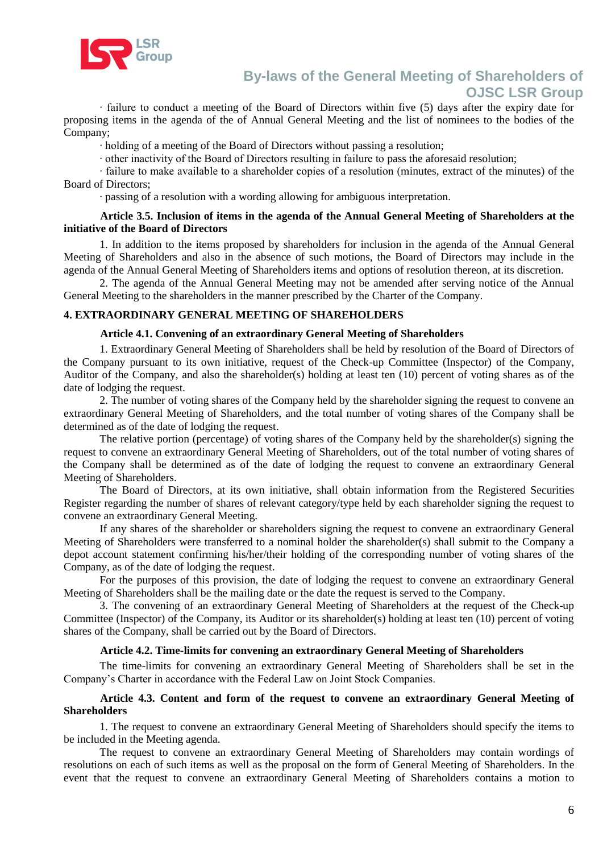

· failure to conduct a meeting of the Board of Directors within five (5) days after the expiry date for proposing items in the agenda of the of Annual General Meeting and the list of nominees to the bodies of the Company;

· holding of a meeting of the Board of Directors without passing a resolution;

· other inactivity of the Board of Directors resulting in failure to pass the aforesaid resolution;

· failure to make available to a shareholder copies of a resolution (minutes, extract of the minutes) of the Board of Directors;

· passing of a resolution with a wording allowing for ambiguous interpretation.

#### **Article 3.5. Inclusion of items in the agenda of the Annual General Meeting of Shareholders at the initiative of the Board of Directors**

1. In addition to the items proposed by shareholders for inclusion in the agenda of the Annual General Meeting of Shareholders and also in the absence of such motions, the Board of Directors may include in the agenda of the Annual General Meeting of Shareholders items and options of resolution thereon, at its discretion.

2. The agenda of the Annual General Meeting may not be amended after serving notice of the Annual General Meeting to the shareholders in the manner prescribed by the Charter of the Company.

#### **4. EXTRAORDINARY GENERAL MEETING OF SHAREHOLDERS**

#### **Article 4.1. Convening of an extraordinary General Meeting of Shareholders**

1. Extraordinary General Meeting of Shareholders shall be held by resolution of the Board of Directors of the Company pursuant to its own initiative, request of the Check-up Committee (Inspector) of the Company, Auditor of the Company, and also the shareholder(s) holding at least ten (10) percent of voting shares as of the date of lodging the request.

2. The number of voting shares of the Company held by the shareholder signing the request to convene an extraordinary General Meeting of Shareholders, and the total number of voting shares of the Company shall be determined as of the date of lodging the request.

The relative portion (percentage) of voting shares of the Company held by the shareholder(s) signing the request to convene an extraordinary General Meeting of Shareholders, out of the total number of voting shares of the Company shall be determined as of the date of lodging the request to convene an extraordinary General Meeting of Shareholders.

The Board of Directors, at its own initiative, shall obtain information from the Registered Securities Register regarding the number of shares of relevant category/type held by each shareholder signing the request to convene an extraordinary General Meeting.

If any shares of the shareholder or shareholders signing the request to convene an extraordinary General Meeting of Shareholders were transferred to a nominal holder the shareholder(s) shall submit to the Company a depot account statement confirming his/her/their holding of the corresponding number of voting shares of the Company, as of the date of lodging the request.

For the purposes of this provision, the date of lodging the request to convene an extraordinary General Meeting of Shareholders shall be the mailing date or the date the request is served to the Company.

3. The convening of an extraordinary General Meeting of Shareholders at the request of the Check-up Committee (Inspector) of the Company, its Auditor or its shareholder(s) holding at least ten (10) percent of voting shares of the Company, shall be carried out by the Board of Directors.

#### **Article 4.2. Time-limits for convening an extraordinary General Meeting of Shareholders**

The time-limits for convening an extraordinary General Meeting of Shareholders shall be set in the Company's Charter in accordance with the Federal Law on Joint Stock Companies.

#### **Article 4.3. Content and form of the request to convene an extraordinary General Meeting of Shareholders**

1. The request to convene an extraordinary General Meeting of Shareholders should specify the items to be included in the Meeting agenda.

The request to convene an extraordinary General Meeting of Shareholders may contain wordings of resolutions on each of such items as well as the proposal on the form of General Meeting of Shareholders. In the event that the request to convene an extraordinary General Meeting of Shareholders contains a motion to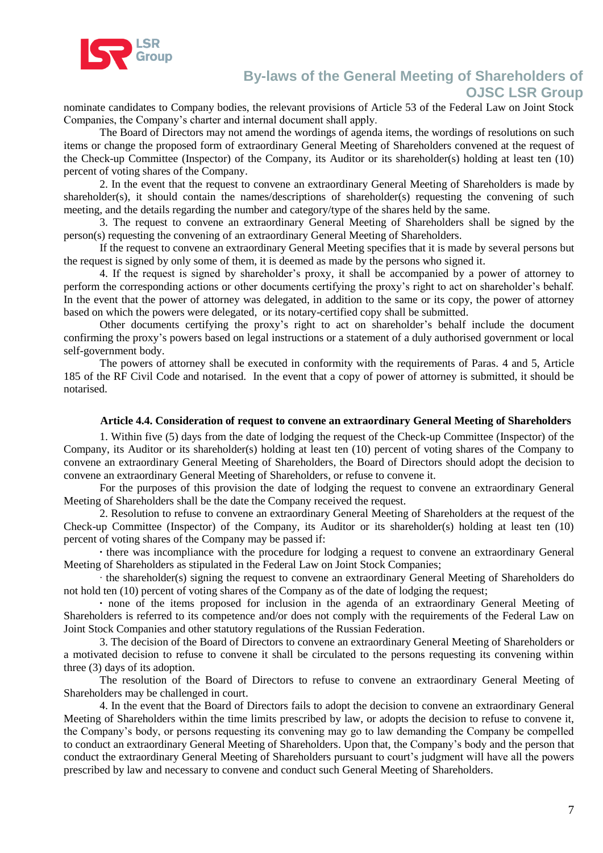

nominate candidates to Company bodies, the relevant provisions of Article 53 of the Federal Law on Joint Stock Companies, the Company's charter and internal document shall apply.

The Board of Directors may not amend the wordings of agenda items, the wordings of resolutions on such items or change the proposed form of extraordinary General Meeting of Shareholders convened at the request of the Check-up Committee (Inspector) of the Company, its Auditor or its shareholder(s) holding at least ten (10) percent of voting shares of the Company.

2. In the event that the request to convene an extraordinary General Meeting of Shareholders is made by shareholder(s), it should contain the names/descriptions of shareholder(s) requesting the convening of such meeting, and the details regarding the number and category/type of the shares held by the same.

3. The request to convene an extraordinary General Meeting of Shareholders shall be signed by the person(s) requesting the convening of an extraordinary General Meeting of Shareholders.

If the request to convene an extraordinary General Meeting specifies that it is made by several persons but the request is signed by only some of them, it is deemed as made by the persons who signed it.

4. If the request is signed by shareholder's proxy, it shall be accompanied by a power of attorney to perform the corresponding actions or other documents certifying the proxy's right to act on shareholder's behalf. In the event that the power of attorney was delegated, in addition to the same or its copy, the power of attorney based on which the powers were delegated, or its notary-certified copy shall be submitted.

Other documents certifying the proxy's right to act on shareholder's behalf include the document confirming the proxy's powers based on legal instructions or a statement of a duly authorised government or local self-government body.

The powers of attorney shall be executed in conformity with the requirements of Paras. 4 and 5, Article 185 of the RF Civil Code and notarised. In the event that a copy of power of attorney is submitted, it should be notarised.

#### **Article 4.4. Consideration of request to convene an extraordinary General Meeting of Shareholders**

1. Within five (5) days from the date of lodging the request of the Check-up Committee (Inspector) of the Company, its Auditor or its shareholder(s) holding at least ten (10) percent of voting shares of the Company to convene an extraordinary General Meeting of Shareholders, the Board of Directors should adopt the decision to convene an extraordinary General Meeting of Shareholders, or refuse to convene it.

For the purposes of this provision the date of lodging the request to convene an extraordinary General Meeting of Shareholders shall be the date the Company received the request.

2. Resolution to refuse to convene an extraordinary General Meeting of Shareholders at the request of the Check-up Committee (Inspector) of the Company, its Auditor or its shareholder(s) holding at least ten (10) percent of voting shares of the Company may be passed if:

**·** there was incompliance with the procedure for lodging a request to convene an extraordinary General Meeting of Shareholders as stipulated in the Federal Law on Joint Stock Companies;

the shareholder(s) signing the request to convene an extraordinary General Meeting of Shareholders do not hold ten (10) percent of voting shares of the Company as of the date of lodging the request;

**·** none of the items proposed for inclusion in the agenda of an extraordinary General Meeting of Shareholders is referred to its competence and/or does not comply with the requirements of the Federal Law on Joint Stock Companies and other statutory regulations of the Russian Federation.

3. The decision of the Board of Directors to convene an extraordinary General Meeting of Shareholders or a motivated decision to refuse to convene it shall be circulated to the persons requesting its convening within three (3) days of its adoption.

The resolution of the Board of Directors to refuse to convene an extraordinary General Meeting of Shareholders may be challenged in court.

4. In the event that the Board of Directors fails to adopt the decision to convene an extraordinary General Meeting of Shareholders within the time limits prescribed by law, or adopts the decision to refuse to convene it, the Company's body, or persons requesting its convening may go to law demanding the Company be compelled to conduct an extraordinary General Meeting of Shareholders. Upon that, the Company's body and the person that conduct the extraordinary General Meeting of Shareholders pursuant to court's judgment will have all the powers prescribed by law and necessary to convene and conduct such General Meeting of Shareholders.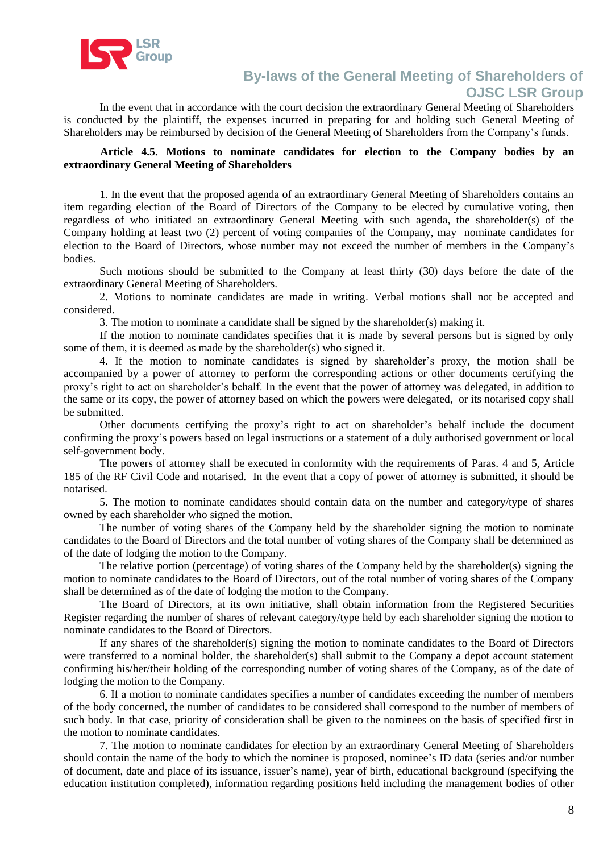

In the event that in accordance with the court decision the extraordinary General Meeting of Shareholders is conducted by the plaintiff, the expenses incurred in preparing for and holding such General Meeting of Shareholders may be reimbursed by decision of the General Meeting of Shareholders from the Company's funds.

### **Article 4.5. Motions to nominate candidates for election to the Company bodies by an extraordinary General Meeting of Shareholders**

1. In the event that the proposed agenda of an extraordinary General Meeting of Shareholders contains an item regarding election of the Board of Directors of the Company to be elected by cumulative voting, then regardless of who initiated an extraordinary General Meeting with such agenda, the shareholder(s) of the Company holding at least two (2) percent of voting companies of the Company, may nominate candidates for election to the Board of Directors, whose number may not exceed the number of members in the Company's bodies.

Such motions should be submitted to the Company at least thirty (30) days before the date of the extraordinary General Meeting of Shareholders.

2. Motions to nominate candidates are made in writing. Verbal motions shall not be accepted and considered.

3. The motion to nominate a candidate shall be signed by the shareholder(s) making it.

If the motion to nominate candidates specifies that it is made by several persons but is signed by only some of them, it is deemed as made by the shareholder(s) who signed it.

4. If the motion to nominate candidates is signed by shareholder's proxy, the motion shall be accompanied by a power of attorney to perform the corresponding actions or other documents certifying the proxy's right to act on shareholder's behalf. In the event that the power of attorney was delegated, in addition to the same or its copy, the power of attorney based on which the powers were delegated, or its notarised copy shall be submitted.

Other documents certifying the proxy's right to act on shareholder's behalf include the document confirming the proxy's powers based on legal instructions or a statement of a duly authorised government or local self-government body.

The powers of attorney shall be executed in conformity with the requirements of Paras. 4 and 5, Article 185 of the RF Civil Code and notarised. In the event that a copy of power of attorney is submitted, it should be notarised.

5. The motion to nominate candidates should contain data on the number and category/type of shares owned by each shareholder who signed the motion.

The number of voting shares of the Company held by the shareholder signing the motion to nominate candidates to the Board of Directors and the total number of voting shares of the Company shall be determined as of the date of lodging the motion to the Company.

The relative portion (percentage) of voting shares of the Company held by the shareholder(s) signing the motion to nominate candidates to the Board of Directors, out of the total number of voting shares of the Company shall be determined as of the date of lodging the motion to the Company.

The Board of Directors, at its own initiative, shall obtain information from the Registered Securities Register regarding the number of shares of relevant category/type held by each shareholder signing the motion to nominate candidates to the Board of Directors.

If any shares of the shareholder(s) signing the motion to nominate candidates to the Board of Directors were transferred to a nominal holder, the shareholder(s) shall submit to the Company a depot account statement confirming his/her/their holding of the corresponding number of voting shares of the Company, as of the date of lodging the motion to the Company.

6. If a motion to nominate candidates specifies a number of candidates exceeding the number of members of the body concerned, the number of candidates to be considered shall correspond to the number of members of such body. In that case, priority of consideration shall be given to the nominees on the basis of specified first in the motion to nominate candidates.

7. The motion to nominate candidates for election by an extraordinary General Meeting of Shareholders should contain the name of the body to which the nominee is proposed, nominee's ID data (series and/or number of document, date and place of its issuance, issuer's name), year of birth, educational background (specifying the education institution completed), information regarding positions held including the management bodies of other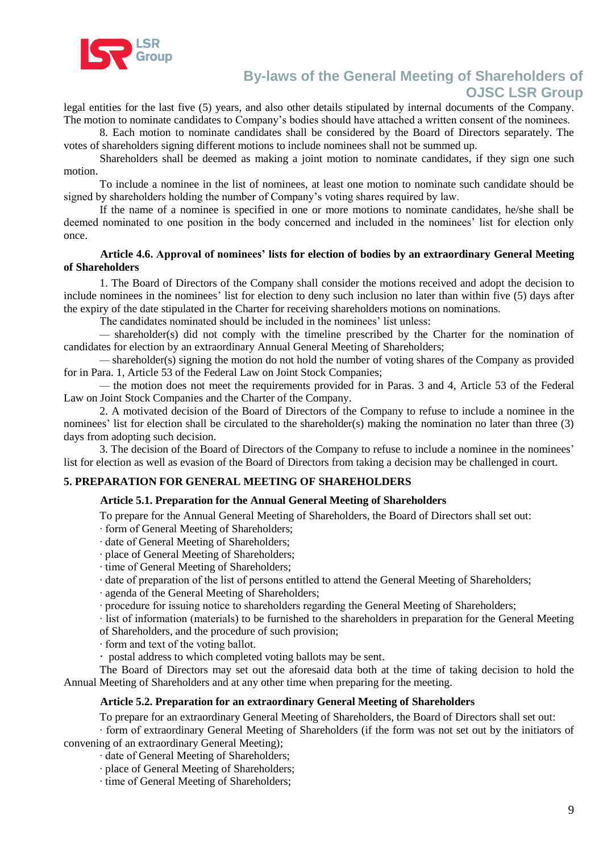

legal entities for the last five (5) years, and also other details stipulated by internal documents of the Company. The motion to nominate candidates to Company's bodies should have attached a written consent of the nominees.

8. Each motion to nominate candidates shall be considered by the Board of Directors separately. The votes of shareholders signing different motions to include nominees shall not be summed up.

Shareholders shall be deemed as making a joint motion to nominate candidates, if they sign one such motion.

To include a nominee in the list of nominees, at least one motion to nominate such candidate should be signed by shareholders holding the number of Company's voting shares required by law.

If the name of a nominee is specified in one or more motions to nominate candidates, he/she shall be deemed nominated to one position in the body concerned and included in the nominees' list for election only once.

### **Article 4.6. Approval of nominees' lists for election of bodies by an extraordinary General Meeting of Shareholders**

1. The Board of Directors of the Company shall consider the motions received and adopt the decision to include nominees in the nominees' list for election to deny such inclusion no later than within five (5) days after the expiry of the date stipulated in the Charter for receiving shareholders motions on nominations.

The candidates nominated should be included in the nominees' list unless:

*—* shareholder(s) did not comply with the timeline prescribed by the Charter for the nomination of candidates for election by an extraordinary Annual General Meeting of Shareholders;

*—* shareholder(s) signing the motion do not hold the number of voting shares of the Company as provided for in Para. 1, Article 53 of the Federal Law on Joint Stock Companies;

*—* the motion does not meet the requirements provided for in Paras. 3 and 4, Article 53 of the Federal Law on Joint Stock Companies and the Charter of the Company.

2. A motivated decision of the Board of Directors of the Company to refuse to include a nominee in the nominees' list for election shall be circulated to the shareholder(s) making the nomination no later than three (3) days from adopting such decision.

3. The decision of the Board of Directors of the Company to refuse to include a nominee in the nominees' list for election as well as evasion of the Board of Directors from taking a decision may be challenged in court.

#### **5. PREPARATION FOR GENERAL MEETING OF SHAREHOLDERS**

#### **Article 5.1. Preparation for the Annual General Meeting of Shareholders**

To prepare for the Annual General Meeting of Shareholders, the Board of Directors shall set out:

· form of General Meeting of Shareholders;

- · date of General Meeting of Shareholders;
- · place of General Meeting of Shareholders;

· time of General Meeting of Shareholders;

· date of preparation of the list of persons entitled to attend the General Meeting of Shareholders;

· agenda of the General Meeting of Shareholders;

· procedure for issuing notice to shareholders regarding the General Meeting of Shareholders;

· list of information (materials) to be furnished to the shareholders in preparation for the General Meeting of Shareholders, and the procedure of such provision;

· form and text of the voting ballot.

postal address to which completed voting ballots may be sent.

The Board of Directors may set out the aforesaid data both at the time of taking decision to hold the Annual Meeting of Shareholders and at any other time when preparing for the meeting.

#### **Article 5.2. Preparation for an extraordinary General Meeting of Shareholders**

To prepare for an extraordinary General Meeting of Shareholders, the Board of Directors shall set out:

· form of extraordinary General Meeting of Shareholders (if the form was not set out by the initiators of convening of an extraordinary General Meeting);

· date of General Meeting of Shareholders;

· place of General Meeting of Shareholders;

· time of General Meeting of Shareholders;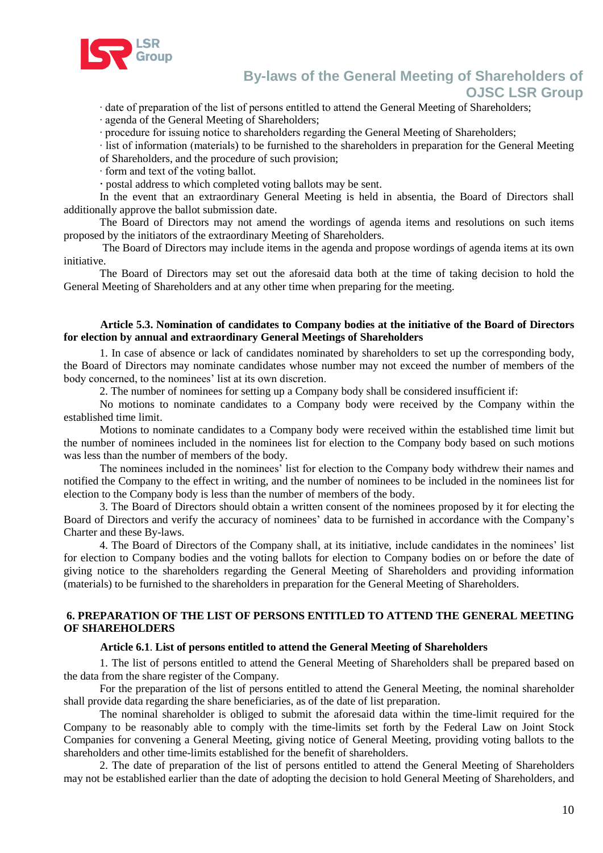

· date of preparation of the list of persons entitled to attend the General Meeting of Shareholders;

· agenda of the General Meeting of Shareholders;

· procedure for issuing notice to shareholders regarding the General Meeting of Shareholders;

· list of information (materials) to be furnished to the shareholders in preparation for the General Meeting

of Shareholders, and the procedure of such provision;

· form and text of the voting ballot.

postal address to which completed voting ballots may be sent.

In the event that an extraordinary General Meeting is held in absentia, the Board of Directors shall additionally approve the ballot submission date.

The Board of Directors may not amend the wordings of agenda items and resolutions on such items proposed by the initiators of the extraordinary Meeting of Shareholders.

The Board of Directors may include items in the agenda and propose wordings of agenda items at its own initiative.

The Board of Directors may set out the aforesaid data both at the time of taking decision to hold the General Meeting of Shareholders and at any other time when preparing for the meeting.

#### **Article 5.3. Nomination of candidates to Company bodies at the initiative of the Board of Directors for election by annual and extraordinary General Meetings of Shareholders**

1. In case of absence or lack of candidates nominated by shareholders to set up the corresponding body, the Board of Directors may nominate candidates whose number may not exceed the number of members of the body concerned, to the nominees' list at its own discretion.

2. The number of nominees for setting up a Company body shall be considered insufficient if:

No motions to nominate candidates to a Company body were received by the Company within the established time limit.

Motions to nominate candidates to a Company body were received within the established time limit but the number of nominees included in the nominees list for election to the Company body based on such motions was less than the number of members of the body.

The nominees included in the nominees' list for election to the Company body withdrew their names and notified the Company to the effect in writing, and the number of nominees to be included in the nominees list for election to the Company body is less than the number of members of the body.

3. The Board of Directors should obtain a written consent of the nominees proposed by it for electing the Board of Directors and verify the accuracy of nominees' data to be furnished in accordance with the Company's Charter and these By-laws.

4. The Board of Directors of the Company shall, at its initiative, include candidates in the nominees' list for election to Company bodies and the voting ballots for election to Company bodies on or before the date of giving notice to the shareholders regarding the General Meeting of Shareholders and providing information (materials) to be furnished to the shareholders in preparation for the General Meeting of Shareholders.

### **6. PREPARATION OF THE LIST OF PERSONS ENTITLED TO ATTEND THE GENERAL MEETING OF SHAREHOLDERS**

#### **Article 6.1**. **List of persons entitled to attend the General Meeting of Shareholders**

1. The list of persons entitled to attend the General Meeting of Shareholders shall be prepared based on the data from the share register of the Company.

For the preparation of the list of persons entitled to attend the General Meeting, the nominal shareholder shall provide data regarding the share beneficiaries, as of the date of list preparation.

The nominal shareholder is obliged to submit the aforesaid data within the time-limit required for the Company to be reasonably able to comply with the time-limits set forth by the Federal Law on Joint Stock Companies for convening a General Meeting, giving notice of General Meeting, providing voting ballots to the shareholders and other time-limits established for the benefit of shareholders.

2. The date of preparation of the list of persons entitled to attend the General Meeting of Shareholders may not be established earlier than the date of adopting the decision to hold General Meeting of Shareholders, and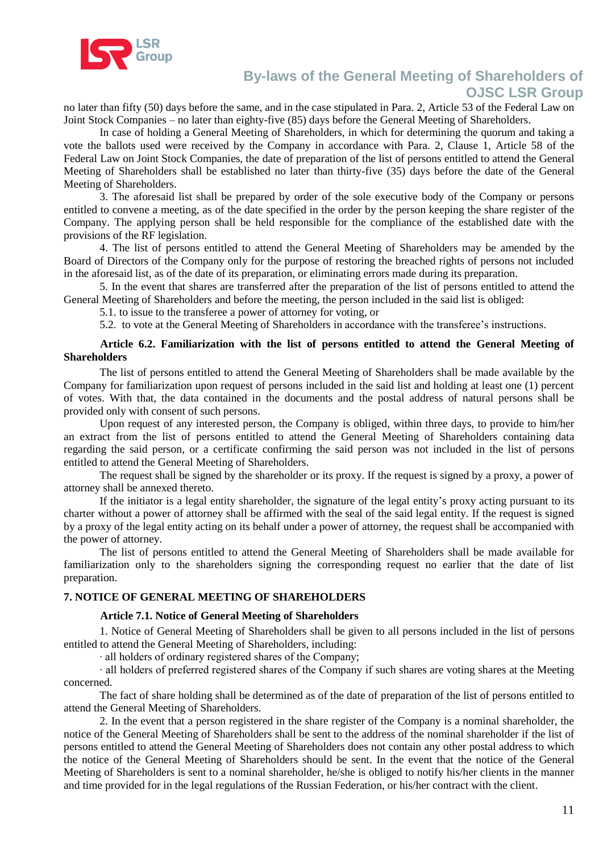

no later than fifty (50) days before the same, and in the case stipulated in Para. 2, Article 53 of the Federal Law on Joint Stock Companies – no later than eighty-five (85) days before the General Meeting of Shareholders.

In case of holding a General Meeting of Shareholders, in which for determining the quorum and taking a vote the ballots used were received by the Company in accordance with Para. 2, Clause 1, Article 58 of the Federal Law on Joint Stock Companies, the date of preparation of the list of persons entitled to attend the General Meeting of Shareholders shall be established no later than thirty-five (35) days before the date of the General Meeting of Shareholders.

3. The aforesaid list shall be prepared by order of the sole executive body of the Company or persons entitled to convene a meeting, as of the date specified in the order by the person keeping the share register of the Company. The applying person shall be held responsible for the compliance of the established date with the provisions of the RF legislation.

4. The list of persons entitled to attend the General Meeting of Shareholders may be amended by the Board of Directors of the Company only for the purpose of restoring the breached rights of persons not included in the aforesaid list, as of the date of its preparation, or eliminating errors made during its preparation.

5. In the event that shares are transferred after the preparation of the list of persons entitled to attend the General Meeting of Shareholders and before the meeting, the person included in the said list is obliged:

5.1. to issue to the transferee a power of attorney for voting, or

5.2. to vote at the General Meeting of Shareholders in accordance with the transferee's instructions.

#### **Article 6.2. Familiarization with the list of persons entitled to attend the General Meeting of Shareholders**

The list of persons entitled to attend the General Meeting of Shareholders shall be made available by the Company for familiarization upon request of persons included in the said list and holding at least one (1) percent of votes. With that, the data contained in the documents and the postal address of natural persons shall be provided only with consent of such persons.

Upon request of any interested person, the Company is obliged, within three days, to provide to him/her an extract from the list of persons entitled to attend the General Meeting of Shareholders containing data regarding the said person, or a certificate confirming the said person was not included in the list of persons entitled to attend the General Meeting of Shareholders.

The request shall be signed by the shareholder or its proxy. If the request is signed by a proxy, a power of attorney shall be annexed thereto.

If the initiator is a legal entity shareholder, the signature of the legal entity's proxy acting pursuant to its charter without a power of attorney shall be affirmed with the seal of the said legal entity. If the request is signed by a proxy of the legal entity acting on its behalf under a power of attorney, the request shall be accompanied with the power of attorney.

The list of persons entitled to attend the General Meeting of Shareholders shall be made available for familiarization only to the shareholders signing the corresponding request no earlier that the date of list preparation.

#### **7. NOTICE OF GENERAL MEETING OF SHAREHOLDERS**

#### **Article 7.1. Notice of General Meeting of Shareholders**

1. Notice of General Meeting of Shareholders shall be given to all persons included in the list of persons entitled to attend the General Meeting of Shareholders, including:

· all holders of ordinary registered shares of the Company;

· all holders of preferred registered shares of the Company if such shares are voting shares at the Meeting concerned.

The fact of share holding shall be determined as of the date of preparation of the list of persons entitled to attend the General Meeting of Shareholders.

2. In the event that a person registered in the share register of the Company is a nominal shareholder, the notice of the General Meeting of Shareholders shall be sent to the address of the nominal shareholder if the list of persons entitled to attend the General Meeting of Shareholders does not contain any other postal address to which the notice of the General Meeting of Shareholders should be sent. In the event that the notice of the General Meeting of Shareholders is sent to a nominal shareholder, he/she is obliged to notify his/her clients in the manner and time provided for in the legal regulations of the Russian Federation, or his/her contract with the client.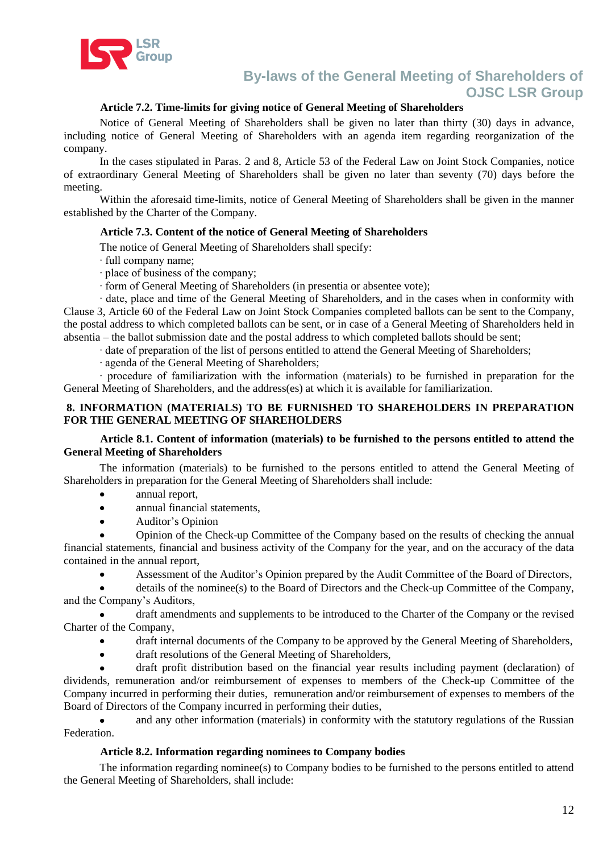

## **Article 7.2. Time-limits for giving notice of General Meeting of Shareholders**

Notice of General Meeting of Shareholders shall be given no later than thirty (30) days in advance, including notice of General Meeting of Shareholders with an agenda item regarding reorganization of the company.

In the cases stipulated in Paras. 2 and 8, Article 53 of the Federal Law on Joint Stock Companies, notice of extraordinary General Meeting of Shareholders shall be given no later than seventy (70) days before the meeting.

Within the aforesaid time-limits, notice of General Meeting of Shareholders shall be given in the manner established by the Charter of the Company.

### **Article 7.3. Content of the notice of General Meeting of Shareholders**

The notice of General Meeting of Shareholders shall specify:

· full company name;

- · place of business of the company;
- · form of General Meeting of Shareholders (in presentia or absentee vote);

· date, place and time of the General Meeting of Shareholders, and in the cases when in conformity with Clause 3, Article 60 of the Federal Law on Joint Stock Companies completed ballots can be sent to the Company, the postal address to which completed ballots can be sent, or in case of a General Meeting of Shareholders held in absentia – the ballot submission date and the postal address to which completed ballots should be sent;

· date of preparation of the list of persons entitled to attend the General Meeting of Shareholders;

· agenda of the General Meeting of Shareholders;

· procedure of familiarization with the information (materials) to be furnished in preparation for the General Meeting of Shareholders, and the address(es) at which it is available for familiarization.

### **8. INFORMATION (MATERIALS) TO BE FURNISHED TO SHAREHOLDERS IN PREPARATION FOR THE GENERAL MEETING OF SHAREHOLDERS**

### **Article 8.1. Content of information (materials) to be furnished to the persons entitled to attend the General Meeting of Shareholders**

The information (materials) to be furnished to the persons entitled to attend the General Meeting of Shareholders in preparation for the General Meeting of Shareholders shall include:

- annual report,
- annual financial statements,  $\bullet$
- Auditor's Opinion  $\bullet$

Opinion of the Check-up Committee of the Company based on the results of checking the annual financial statements, financial and business activity of the Company for the year, and on the accuracy of the data contained in the annual report,

Assessment of the Auditor's Opinion prepared by the Audit Committee of the Board of Directors,

details of the nominee(s) to the Board of Directors and the Check-up Committee of the Company, and the Company's Auditors,

draft amendments and supplements to be introduced to the Charter of the Company or the revised Charter of the Company,

- draft internal documents of the Company to be approved by the General Meeting of Shareholders,
- draft resolutions of the General Meeting of Shareholders,  $\bullet$

draft profit distribution based on the financial year results including payment (declaration) of dividends, remuneration and/or reimbursement of expenses to members of the Check-up Committee of the Company incurred in performing their duties, remuneration and/or reimbursement of expenses to members of the Board of Directors of the Company incurred in performing their duties,

and any other information (materials) in conformity with the statutory regulations of the Russian Federation.

## **Article 8.2. Information regarding nominees to Company bodies**

The information regarding nominee(s) to Company bodies to be furnished to the persons entitled to attend the General Meeting of Shareholders, shall include: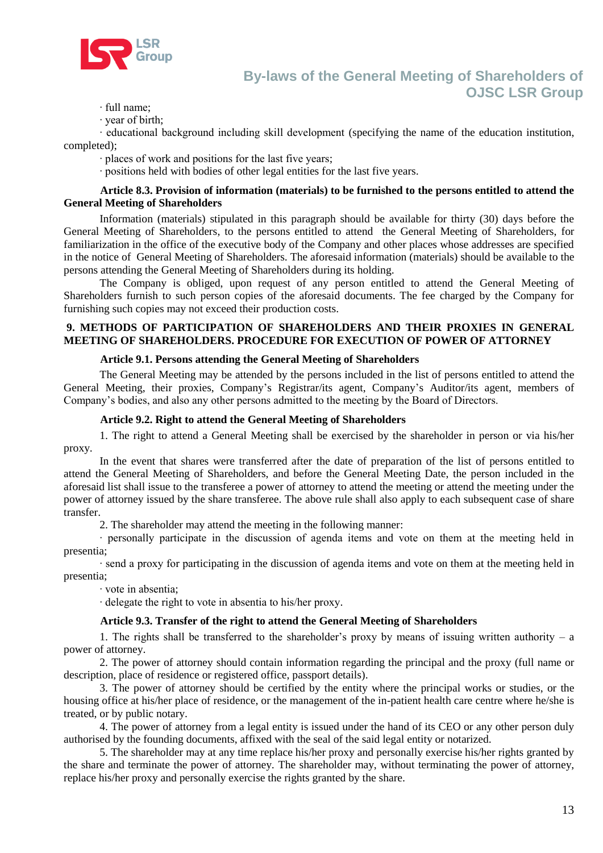

· full name;

· year of birth;

· educational background including skill development (specifying the name of the education institution, completed);

· places of work and positions for the last five years;

· positions held with bodies of other legal entities for the last five years.

#### **Article 8.3. Provision of information (materials) to be furnished to the persons entitled to attend the General Meeting of Shareholders**

Information (materials) stipulated in this paragraph should be available for thirty (30) days before the General Meeting of Shareholders, to the persons entitled to attend the General Meeting of Shareholders, for familiarization in the office of the executive body of the Company and other places whose addresses are specified in the notice of General Meeting of Shareholders. The aforesaid information (materials) should be available to the persons attending the General Meeting of Shareholders during its holding.

The Company is obliged, upon request of any person entitled to attend the General Meeting of Shareholders furnish to such person copies of the aforesaid documents. The fee charged by the Company for furnishing such copies may not exceed their production costs.

### **9. METHODS OF PARTICIPATION OF SHAREHOLDERS AND THEIR PROXIES IN GENERAL MEETING OF SHAREHOLDERS. PROCEDURE FOR EXECUTION OF POWER OF ATTORNEY**

### **Article 9.1. Persons attending the General Meeting of Shareholders**

The General Meeting may be attended by the persons included in the list of persons entitled to attend the General Meeting, their proxies, Company's Registrar/its agent, Company's Auditor/its agent, members of Company's bodies, and also any other persons admitted to the meeting by the Board of Directors.

## **Article 9.2. Right to attend the General Meeting of Shareholders**

1. The right to attend a General Meeting shall be exercised by the shareholder in person or via his/her proxy.

In the event that shares were transferred after the date of preparation of the list of persons entitled to attend the General Meeting of Shareholders, and before the General Meeting Date, the person included in the aforesaid list shall issue to the transferee a power of attorney to attend the meeting or attend the meeting under the power of attorney issued by the share transferee. The above rule shall also apply to each subsequent case of share transfer.

2. The shareholder may attend the meeting in the following manner:

· personally participate in the discussion of agenda items and vote on them at the meeting held in presentia;

· send a proxy for participating in the discussion of agenda items and vote on them at the meeting held in presentia;

· vote in absentia;

· delegate the right to vote in absentia to his/her proxy.

#### **Article 9.3. Transfer of the right to attend the General Meeting of Shareholders**

1. The rights shall be transferred to the shareholder's proxy by means of issuing written authority – a power of attorney.

2. The power of attorney should contain information regarding the principal and the proxy (full name or description, place of residence or registered office, passport details).

3. The power of attorney should be certified by the entity where the principal works or studies, or the housing office at his/her place of residence, or the management of the in-patient health care centre where he/she is treated, or by public notary.

4. The power of attorney from a legal entity is issued under the hand of its CEO or any other person duly authorised by the founding documents, affixed with the seal of the said legal entity or notarized.

5. The shareholder may at any time replace his/her proxy and personally exercise his/her rights granted by the share and terminate the power of attorney. The shareholder may, without terminating the power of attorney, replace his/her proxy and personally exercise the rights granted by the share.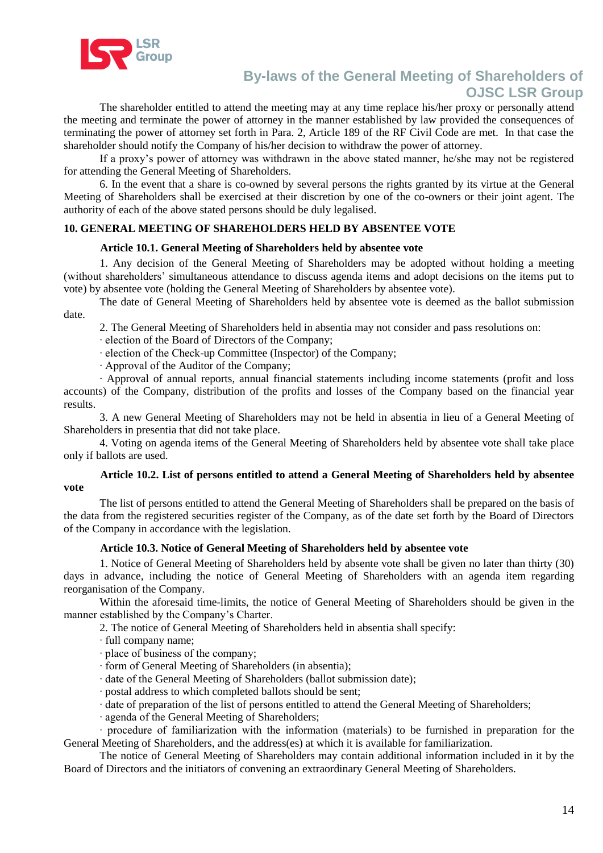

The shareholder entitled to attend the meeting may at any time replace his/her proxy or personally attend the meeting and terminate the power of attorney in the manner established by law provided the consequences of terminating the power of attorney set forth in Para. 2, Article 189 of the RF Civil Code are met. In that case the shareholder should notify the Company of his/her decision to withdraw the power of attorney.

If a proxy's power of attorney was withdrawn in the above stated manner, he/she may not be registered for attending the General Meeting of Shareholders.

6. In the event that a share is co-owned by several persons the rights granted by its virtue at the General Meeting of Shareholders shall be exercised at their discretion by one of the co-owners or their joint agent. The authority of each of the above stated persons should be duly legalised.

### **10. GENERAL MEETING OF SHAREHOLDERS HELD BY ABSENTEE VOTE**

#### **Article 10.1. General Meeting of Shareholders held by absentee vote**

1. Any decision of the General Meeting of Shareholders may be adopted without holding a meeting (without shareholders' simultaneous attendance to discuss agenda items and adopt decisions on the items put to vote) by absentee vote (holding the General Meeting of Shareholders by absentee vote).

The date of General Meeting of Shareholders held by absentee vote is deemed as the ballot submission date.

2. The General Meeting of Shareholders held in absentia may not consider and pass resolutions on:

· election of the Board of Directors of the Company;

· election of the Check-up Committee (Inspector) of the Company;

· Approval of the Auditor of the Company;

· Approval of annual reports, annual financial statements including income statements (profit and loss accounts) of the Company, distribution of the profits and losses of the Company based on the financial year results.

3. A new General Meeting of Shareholders may not be held in absentia in lieu of a General Meeting of Shareholders in presentia that did not take place.

4. Voting on agenda items of the General Meeting of Shareholders held by absentee vote shall take place only if ballots are used.

#### **Article 10.2. List of persons entitled to attend a General Meeting of Shareholders held by absentee vote**

The list of persons entitled to attend the General Meeting of Shareholders shall be prepared on the basis of the data from the registered securities register of the Company, as of the date set forth by the Board of Directors of the Company in accordance with the legislation.

#### **Article 10.3. Notice of General Meeting of Shareholders held by absentee vote**

1. Notice of General Meeting of Shareholders held by absente vote shall be given no later than thirty (30) days in advance, including the notice of General Meeting of Shareholders with an agenda item regarding reorganisation of the Company.

Within the aforesaid time-limits, the notice of General Meeting of Shareholders should be given in the manner established by the Company's Charter.

2. The notice of General Meeting of Shareholders held in absentia shall specify:

· full company name;

· place of business of the company;

- · form of General Meeting of Shareholders (in absentia);
- · date of the General Meeting of Shareholders (ballot submission date);
- · postal address to which completed ballots should be sent;

· date of preparation of the list of persons entitled to attend the General Meeting of Shareholders;

· agenda of the General Meeting of Shareholders;

· procedure of familiarization with the information (materials) to be furnished in preparation for the General Meeting of Shareholders, and the address(es) at which it is available for familiarization.

The notice of General Meeting of Shareholders may contain additional information included in it by the Board of Directors and the initiators of convening an extraordinary General Meeting of Shareholders.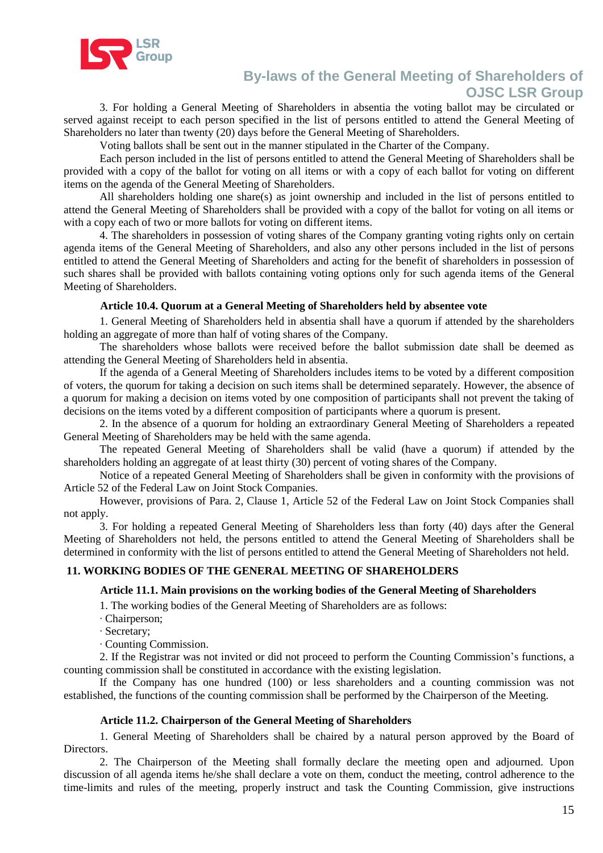

3. For holding a General Meeting of Shareholders in absentia the voting ballot may be circulated or served against receipt to each person specified in the list of persons entitled to attend the General Meeting of Shareholders no later than twenty (20) days before the General Meeting of Shareholders.

Voting ballots shall be sent out in the manner stipulated in the Charter of the Company.

Each person included in the list of persons entitled to attend the General Meeting of Shareholders shall be provided with a copy of the ballot for voting on all items or with a copy of each ballot for voting on different items on the agenda of the General Meeting of Shareholders.

All shareholders holding one share(s) as joint ownership and included in the list of persons entitled to attend the General Meeting of Shareholders shall be provided with a copy of the ballot for voting on all items or with a copy each of two or more ballots for voting on different items.

4. The shareholders in possession of voting shares of the Company granting voting rights only on certain agenda items of the General Meeting of Shareholders, and also any other persons included in the list of persons entitled to attend the General Meeting of Shareholders and acting for the benefit of shareholders in possession of such shares shall be provided with ballots containing voting options only for such agenda items of the General Meeting of Shareholders.

### **Article 10.4. Quorum at a General Meeting of Shareholders held by absentee vote**

1. General Meeting of Shareholders held in absentia shall have a quorum if attended by the shareholders holding an aggregate of more than half of voting shares of the Company.

The shareholders whose ballots were received before the ballot submission date shall be deemed as attending the General Meeting of Shareholders held in absentia.

If the agenda of a General Meeting of Shareholders includes items to be voted by a different composition of voters, the quorum for taking a decision on such items shall be determined separately. However, the absence of a quorum for making a decision on items voted by one composition of participants shall not prevent the taking of decisions on the items voted by a different composition of participants where a quorum is present.

2. In the absence of a quorum for holding an extraordinary General Meeting of Shareholders a repeated General Meeting of Shareholders may be held with the same agenda.

The repeated General Meeting of Shareholders shall be valid (have a quorum) if attended by the shareholders holding an aggregate of at least thirty (30) percent of voting shares of the Company.

Notice of a repeated General Meeting of Shareholders shall be given in conformity with the provisions of Article 52 of the Federal Law on Joint Stock Companies.

However, provisions of Para. 2, Clause 1, Article 52 of the Federal Law on Joint Stock Companies shall not apply.

3. For holding a repeated General Meeting of Shareholders less than forty (40) days after the General Meeting of Shareholders not held, the persons entitled to attend the General Meeting of Shareholders shall be determined in conformity with the list of persons entitled to attend the General Meeting of Shareholders not held.

## **11. WORKING BODIES OF THE GENERAL MEETING OF SHAREHOLDERS**

#### **Article 11.1. Main provisions on the working bodies of the General Meeting of Shareholders**

1. The working bodies of the General Meeting of Shareholders are as follows:

· Chairperson;

· Secretary;

· Counting Commission.

2. If the Registrar was not invited or did not proceed to perform the Counting Commission's functions, a counting commission shall be constituted in accordance with the existing legislation.

If the Company has one hundred (100) or less shareholders and a counting commission was not established, the functions of the counting commission shall be performed by the Chairperson of the Meeting.

#### **Article 11.2. Chairperson of the General Meeting of Shareholders**

1. General Meeting of Shareholders shall be chaired by a natural person approved by the Board of Directors.

2. The Chairperson of the Meeting shall formally declare the meeting open and adjourned. Upon discussion of all agenda items he/she shall declare a vote on them, conduct the meeting, control adherence to the time-limits and rules of the meeting, properly instruct and task the Counting Commission, give instructions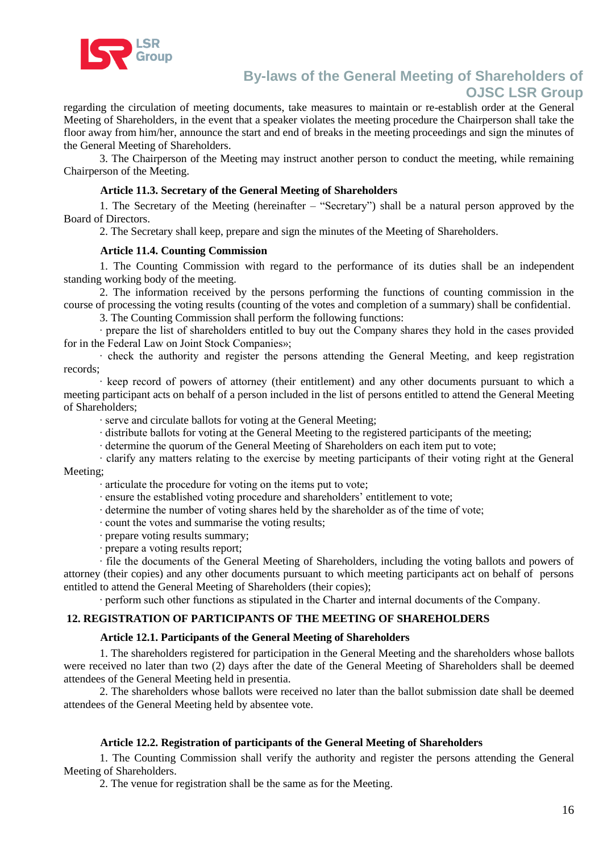

regarding the circulation of meeting documents, take measures to maintain or re-establish order at the General Meeting of Shareholders, in the event that a speaker violates the meeting procedure the Chairperson shall take the floor away from him/her, announce the start and end of breaks in the meeting proceedings and sign the minutes of the General Meeting of Shareholders.

3. The Chairperson of the Meeting may instruct another person to conduct the meeting, while remaining Chairperson of the Meeting.

#### **Article 11.3. Secretary of the General Meeting of Shareholders**

1. The Secretary of the Meeting (hereinafter – "Secretary") shall be a natural person approved by the Board of Directors.

2. The Secretary shall keep, prepare and sign the minutes of the Meeting of Shareholders.

#### **Article 11.4. Counting Commission**

1. The Counting Commission with regard to the performance of its duties shall be an independent standing working body of the meeting.

2. The information received by the persons performing the functions of counting commission in the course of processing the voting results (counting of the votes and completion of a summary) shall be confidential.

3. The Counting Commission shall perform the following functions:

· prepare the list of shareholders entitled to buy out the Company shares they hold in the cases provided for in the Federal Law on Joint Stock Companies»;

· check the authority and register the persons attending the General Meeting, and keep registration records;

· keep record of powers of attorney (their entitlement) and any other documents pursuant to which a meeting participant acts on behalf of a person included in the list of persons entitled to attend the General Meeting of Shareholders;

· serve and circulate ballots for voting at the General Meeting;

· distribute ballots for voting at the General Meeting to the registered participants of the meeting;

· determine the quorum of the General Meeting of Shareholders on each item put to vote;

· clarify any matters relating to the exercise by meeting participants of their voting right at the General Meeting;

· articulate the procedure for voting on the items put to vote;

- · ensure the established voting procedure and shareholders' entitlement to vote;
- · determine the number of voting shares held by the shareholder as of the time of vote;
- · count the votes and summarise the voting results;
- · prepare voting results summary;
- · prepare a voting results report;

· file the documents of the General Meeting of Shareholders, including the voting ballots and powers of attorney (their copies) and any other documents pursuant to which meeting participants act on behalf of persons entitled to attend the General Meeting of Shareholders (their copies);

· perform such other functions as stipulated in the Charter and internal documents of the Company.

# **12. REGISTRATION OF PARTICIPANTS OF THE MEETING OF SHAREHOLDERS**

#### **Article 12.1. Participants of the General Meeting of Shareholders**

1. The shareholders registered for participation in the General Meeting and the shareholders whose ballots were received no later than two (2) days after the date of the General Meeting of Shareholders shall be deemed attendees of the General Meeting held in presentia.

2. The shareholders whose ballots were received no later than the ballot submission date shall be deemed attendees of the General Meeting held by absentee vote.

#### **Article 12.2. Registration of participants of the General Meeting of Shareholders**

1. The Counting Commission shall verify the authority and register the persons attending the General Meeting of Shareholders.

2. The venue for registration shall be the same as for the Meeting.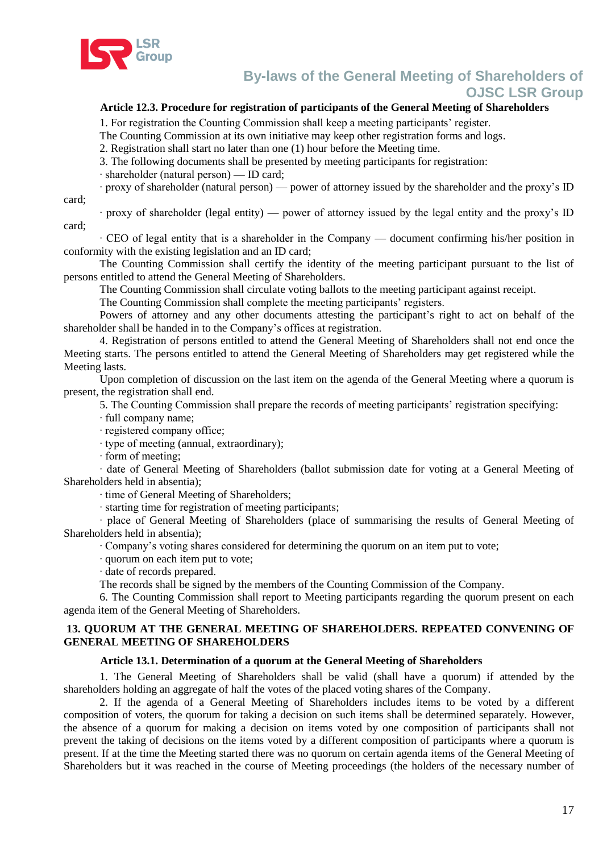

### **Article 12.3. Procedure for registration of participants of the General Meeting of Shareholders**

1. For registration the Counting Commission shall keep a meeting participants' register.

The Counting Commission at its own initiative may keep other registration forms and logs.

2. Registration shall start no later than one (1) hour before the Meeting time.

3. The following documents shall be presented by meeting participants for registration:

· shareholder (natural person) — ID card;

· proxy of shareholder (natural person) — power of attorney issued by the shareholder and the proxy's ID

card;

· proxy of shareholder (legal entity) — power of attorney issued by the legal entity and the proxy's ID card;

· CEO of legal entity that is a shareholder in the Company — document confirming his/her position in conformity with the existing legislation and an ID card;

The Counting Commission shall certify the identity of the meeting participant pursuant to the list of persons entitled to attend the General Meeting of Shareholders.

The Counting Commission shall circulate voting ballots to the meeting participant against receipt.

The Counting Commission shall complete the meeting participants' registers.

Powers of attorney and any other documents attesting the participant's right to act on behalf of the shareholder shall be handed in to the Company's offices at registration.

4. Registration of persons entitled to attend the General Meeting of Shareholders shall not end once the Meeting starts. The persons entitled to attend the General Meeting of Shareholders may get registered while the Meeting lasts.

Upon completion of discussion on the last item on the agenda of the General Meeting where a quorum is present, the registration shall end.

5. The Counting Commission shall prepare the records of meeting participants' registration specifying:

· full company name;

· registered company office;

· type of meeting (annual, extraordinary);

· form of meeting;

· date of General Meeting of Shareholders (ballot submission date for voting at a General Meeting of Shareholders held in absentia);

· time of General Meeting of Shareholders;

· starting time for registration of meeting participants;

· place of General Meeting of Shareholders (place of summarising the results of General Meeting of Shareholders held in absentia);

· Company's voting shares considered for determining the quorum on an item put to vote;

· quorum on each item put to vote;

· date of records prepared.

The records shall be signed by the members of the Counting Commission of the Company.

6. The Counting Commission shall report to Meeting participants regarding the quorum present on each agenda item of the General Meeting of Shareholders.

#### **13. QUORUM AT THE GENERAL MEETING OF SHAREHOLDERS. REPEATED CONVENING OF GENERAL MEETING OF SHAREHOLDERS**

#### **Article 13.1. Determination of a quorum at the General Meeting of Shareholders**

1. The General Meeting of Shareholders shall be valid (shall have a quorum) if attended by the shareholders holding an aggregate of half the votes of the placed voting shares of the Company.

2. If the agenda of a General Meeting of Shareholders includes items to be voted by a different composition of voters, the quorum for taking a decision on such items shall be determined separately. However, the absence of a quorum for making a decision on items voted by one composition of participants shall not prevent the taking of decisions on the items voted by a different composition of participants where a quorum is present. If at the time the Meeting started there was no quorum on certain agenda items of the General Meeting of Shareholders but it was reached in the course of Meeting proceedings (the holders of the necessary number of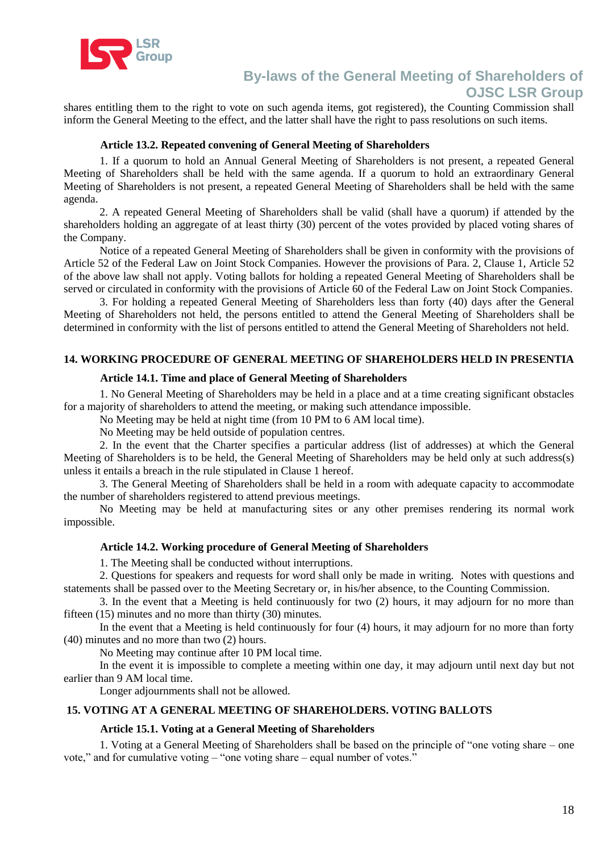

shares entitling them to the right to vote on such agenda items, got registered), the Counting Commission shall inform the General Meeting to the effect, and the latter shall have the right to pass resolutions on such items.

#### **Article 13.2. Repeated convening of General Meeting of Shareholders**

1. If a quorum to hold an Annual General Meeting of Shareholders is not present, a repeated General Meeting of Shareholders shall be held with the same agenda. If a quorum to hold an extraordinary General Meeting of Shareholders is not present, a repeated General Meeting of Shareholders shall be held with the same agenda.

2. A repeated General Meeting of Shareholders shall be valid (shall have a quorum) if attended by the shareholders holding an aggregate of at least thirty (30) percent of the votes provided by placed voting shares of the Company.

Notice of a repeated General Meeting of Shareholders shall be given in conformity with the provisions of Article 52 of the Federal Law on Joint Stock Companies. However the provisions of Para. 2, Clause 1, Article 52 of the above law shall not apply. Voting ballots for holding a repeated General Meeting of Shareholders shall be served or circulated in conformity with the provisions of Article 60 of the Federal Law on Joint Stock Companies.

3. For holding a repeated General Meeting of Shareholders less than forty (40) days after the General Meeting of Shareholders not held, the persons entitled to attend the General Meeting of Shareholders shall be determined in conformity with the list of persons entitled to attend the General Meeting of Shareholders not held.

## **14. WORKING PROCEDURE OF GENERAL MEETING OF SHAREHOLDERS HELD IN PRESENTIA**

#### **Article 14.1. Time and place of General Meeting of Shareholders**

1. No General Meeting of Shareholders may be held in a place and at a time creating significant obstacles for a majority of shareholders to attend the meeting, or making such attendance impossible.

No Meeting may be held at night time (from 10 PM to 6 AM local time).

No Meeting may be held outside of population centres.

2. In the event that the Charter specifies a particular address (list of addresses) at which the General Meeting of Shareholders is to be held, the General Meeting of Shareholders may be held only at such address(s) unless it entails a breach in the rule stipulated in Clause 1 hereof.

3. The General Meeting of Shareholders shall be held in a room with adequate capacity to accommodate the number of shareholders registered to attend previous meetings.

No Meeting may be held at manufacturing sites or any other premises rendering its normal work impossible.

#### **Article 14.2. Working procedure of General Meeting of Shareholders**

1. The Meeting shall be conducted without interruptions.

2. Questions for speakers and requests for word shall only be made in writing. Notes with questions and statements shall be passed over to the Meeting Secretary or, in his/her absence, to the Counting Commission.

3. In the event that a Meeting is held continuously for two (2) hours, it may adjourn for no more than fifteen (15) minutes and no more than thirty (30) minutes.

In the event that a Meeting is held continuously for four (4) hours, it may adjourn for no more than forty (40) minutes and no more than two (2) hours.

No Meeting may continue after 10 PM local time.

In the event it is impossible to complete a meeting within one day, it may adjourn until next day but not earlier than 9 AM local time.

Longer adjournments shall not be allowed.

### **15. VOTING AT A GENERAL MEETING OF SHAREHOLDERS. VOTING BALLOTS**

#### **Article 15.1. Voting at a General Meeting of Shareholders**

1. Voting at a General Meeting of Shareholders shall be based on the principle of "one voting share – one vote," and for cumulative voting – "one voting share – equal number of votes."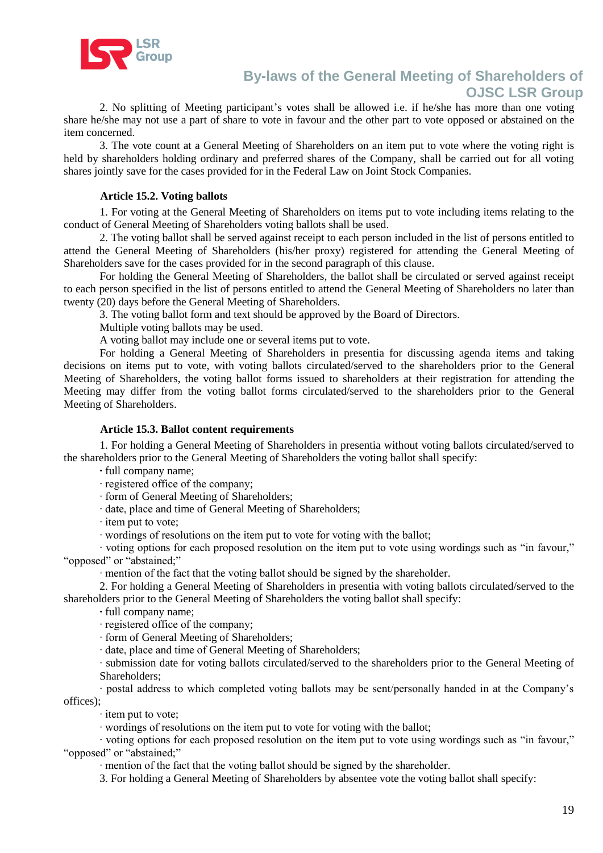

2. No splitting of Meeting participant's votes shall be allowed i.e. if he/she has more than one voting share he/she may not use a part of share to vote in favour and the other part to vote opposed or abstained on the item concerned.

3. The vote count at a General Meeting of Shareholders on an item put to vote where the voting right is held by shareholders holding ordinary and preferred shares of the Company, shall be carried out for all voting shares jointly save for the cases provided for in the Federal Law on Joint Stock Companies.

#### **Article 15.2. Voting ballots**

1. For voting at the General Meeting of Shareholders on items put to vote including items relating to the conduct of General Meeting of Shareholders voting ballots shall be used.

2. The voting ballot shall be served against receipt to each person included in the list of persons entitled to attend the General Meeting of Shareholders (his/her proxy) registered for attending the General Meeting of Shareholders save for the cases provided for in the second paragraph of this clause.

For holding the General Meeting of Shareholders, the ballot shall be circulated or served against receipt to each person specified in the list of persons entitled to attend the General Meeting of Shareholders no later than twenty (20) days before the General Meeting of Shareholders.

3. The voting ballot form and text should be approved by the Board of Directors.

Multiple voting ballots may be used.

A voting ballot may include one or several items put to vote.

For holding a General Meeting of Shareholders in presentia for discussing agenda items and taking decisions on items put to vote, with voting ballots circulated/served to the shareholders prior to the General Meeting of Shareholders, the voting ballot forms issued to shareholders at their registration for attending the Meeting may differ from the voting ballot forms circulated/served to the shareholders prior to the General Meeting of Shareholders.

#### **Article 15.3. Ballot content requirements**

1. For holding a General Meeting of Shareholders in presentia without voting ballots circulated/served to the shareholders prior to the General Meeting of Shareholders the voting ballot shall specify:

- **·** full company name;
- · registered office of the company;
- · form of General Meeting of Shareholders;
- · date, place and time of General Meeting of Shareholders;
- · item put to vote;
- · wordings of resolutions on the item put to vote for voting with the ballot;

· voting options for each proposed resolution on the item put to vote using wordings such as "in favour," "opposed" or "abstained:"

· mention of the fact that the voting ballot should be signed by the shareholder.

2. For holding a General Meeting of Shareholders in presentia with voting ballots circulated/served to the shareholders prior to the General Meeting of Shareholders the voting ballot shall specify:

**·** full company name;

· registered office of the company;

· form of General Meeting of Shareholders;

· date, place and time of General Meeting of Shareholders;

· submission date for voting ballots circulated/served to the shareholders prior to the General Meeting of Shareholders;

· postal address to which completed voting ballots may be sent/personally handed in at the Company's offices);

· item put to vote;

· wordings of resolutions on the item put to vote for voting with the ballot;

· voting options for each proposed resolution on the item put to vote using wordings such as "in favour," "opposed" or "abstained;"

· mention of the fact that the voting ballot should be signed by the shareholder.

3. For holding a General Meeting of Shareholders by absentee vote the voting ballot shall specify: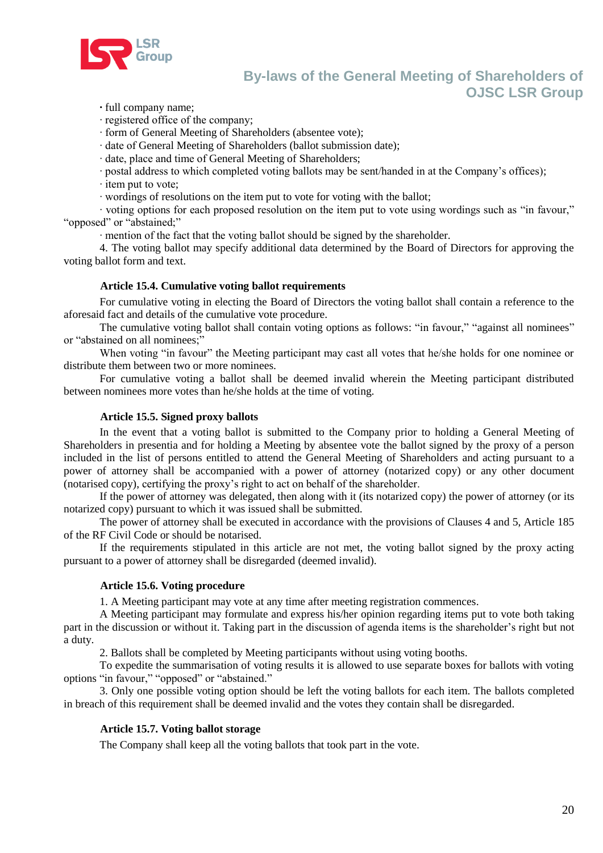

**·** full company name;

· registered office of the company;

· form of General Meeting of Shareholders (absentee vote);

· date of General Meeting of Shareholders (ballot submission date);

· date, place and time of General Meeting of Shareholders;

· postal address to which completed voting ballots may be sent/handed in at the Company's offices);

· item put to vote;

· wordings of resolutions on the item put to vote for voting with the ballot;

· voting options for each proposed resolution on the item put to vote using wordings such as "in favour," "opposed" or "abstained;"

· mention of the fact that the voting ballot should be signed by the shareholder.

4. The voting ballot may specify additional data determined by the Board of Directors for approving the voting ballot form and text.

#### **Article 15.4. Cumulative voting ballot requirements**

For cumulative voting in electing the Board of Directors the voting ballot shall contain a reference to the aforesaid fact and details of the cumulative vote procedure.

The cumulative voting ballot shall contain voting options as follows: "in favour," "against all nominees" or "abstained on all nominees;"

When voting "in favour" the Meeting participant may cast all votes that he/she holds for one nominee or distribute them between two or more nominees.

For cumulative voting a ballot shall be deemed invalid wherein the Meeting participant distributed between nominees more votes than he/she holds at the time of voting.

#### **Article 15.5. Signed proxy ballots**

In the event that a voting ballot is submitted to the Company prior to holding a General Meeting of Shareholders in presentia and for holding a Meeting by absentee vote the ballot signed by the proxy of a person included in the list of persons entitled to attend the General Meeting of Shareholders and acting pursuant to a power of attorney shall be accompanied with a power of attorney (notarized copy) or any other document (notarised copy), certifying the proxy's right to act on behalf of the shareholder.

If the power of attorney was delegated, then along with it (its notarized copy) the power of attorney (or its notarized copy) pursuant to which it was issued shall be submitted.

The power of attorney shall be executed in accordance with the provisions of Clauses 4 and 5, Article 185 of the RF Civil Code or should be notarised.

If the requirements stipulated in this article are not met, the voting ballot signed by the proxy acting pursuant to a power of attorney shall be disregarded (deemed invalid).

#### **Article 15.6. Voting procedure**

1. A Meeting participant may vote at any time after meeting registration commences.

A Meeting participant may formulate and express his/her opinion regarding items put to vote both taking part in the discussion or without it. Taking part in the discussion of agenda items is the shareholder's right but not a duty.

2. Ballots shall be completed by Meeting participants without using voting booths.

To expedite the summarisation of voting results it is allowed to use separate boxes for ballots with voting options "in favour," "opposed" or "abstained."

3. Only one possible voting option should be left the voting ballots for each item. The ballots completed in breach of this requirement shall be deemed invalid and the votes they contain shall be disregarded.

#### **Article 15.7. Voting ballot storage**

The Company shall keep all the voting ballots that took part in the vote.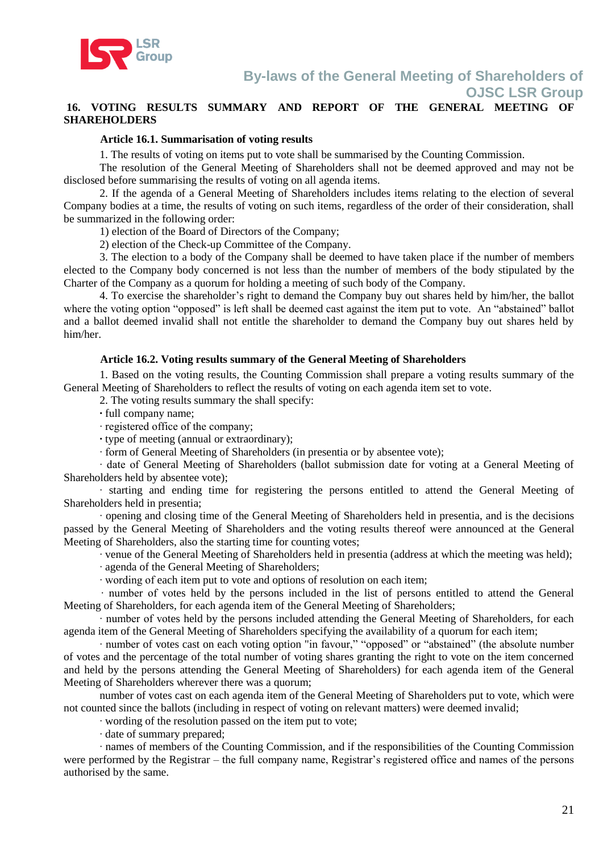

### **16. VOTING RESULTS SUMMARY AND REPORT OF THE GENERAL MEETING OF SHAREHOLDERS**

### **Article 16.1. Summarisation of voting results**

1. The results of voting on items put to vote shall be summarised by the Counting Commission.

The resolution of the General Meeting of Shareholders shall not be deemed approved and may not be disclosed before summarising the results of voting on all agenda items.

2. If the agenda of a General Meeting of Shareholders includes items relating to the election of several Company bodies at a time, the results of voting on such items, regardless of the order of their consideration, shall be summarized in the following order:

1) election of the Board of Directors of the Company;

2) election of the Check-up Committee of the Company.

3. The election to a body of the Company shall be deemed to have taken place if the number of members elected to the Company body concerned is not less than the number of members of the body stipulated by the Charter of the Company as a quorum for holding a meeting of such body of the Company.

4. To exercise the shareholder's right to demand the Company buy out shares held by him/her, the ballot where the voting option "opposed" is left shall be deemed cast against the item put to vote. An "abstained" ballot and a ballot deemed invalid shall not entitle the shareholder to demand the Company buy out shares held by him/her.

#### **Article 16.2. Voting results summary of the General Meeting of Shareholders**

1. Based on the voting results, the Counting Commission shall prepare a voting results summary of the General Meeting of Shareholders to reflect the results of voting on each agenda item set to vote.

2. The voting results summary the shall specify:

**·** full company name;

· registered office of the company;

**·** type of meeting (annual or extraordinary);

· form of General Meeting of Shareholders (in presentia or by absentee vote);

· date of General Meeting of Shareholders (ballot submission date for voting at a General Meeting of Shareholders held by absentee vote);

· starting and ending time for registering the persons entitled to attend the General Meeting of Shareholders held in presentia;

· opening and closing time of the General Meeting of Shareholders held in presentia, and is the decisions passed by the General Meeting of Shareholders and the voting results thereof were announced at the General Meeting of Shareholders, also the starting time for counting votes;

· venue of the General Meeting of Shareholders held in presentia (address at which the meeting was held);

· agenda of the General Meeting of Shareholders;

· wording of each item put to vote and options of resolution on each item;

· number of votes held by the persons included in the list of persons entitled to attend the General Meeting of Shareholders, for each agenda item of the General Meeting of Shareholders;

· number of votes held by the persons included attending the General Meeting of Shareholders, for each agenda item of the General Meeting of Shareholders specifying the availability of a quorum for each item;

· number of votes cast on each voting option "in favour," "opposed" or "abstained" (the absolute number of votes and the percentage of the total number of voting shares granting the right to vote on the item concerned and held by the persons attending the General Meeting of Shareholders) for each agenda item of the General Meeting of Shareholders wherever there was a quorum;

number of votes cast on each agenda item of the General Meeting of Shareholders put to vote, which were not counted since the ballots (including in respect of voting on relevant matters) were deemed invalid;

· wording of the resolution passed on the item put to vote;

· date of summary prepared;

· names of members of the Counting Commission, and if the responsibilities of the Counting Commission were performed by the Registrar – the full company name, Registrar's registered office and names of the persons authorised by the same.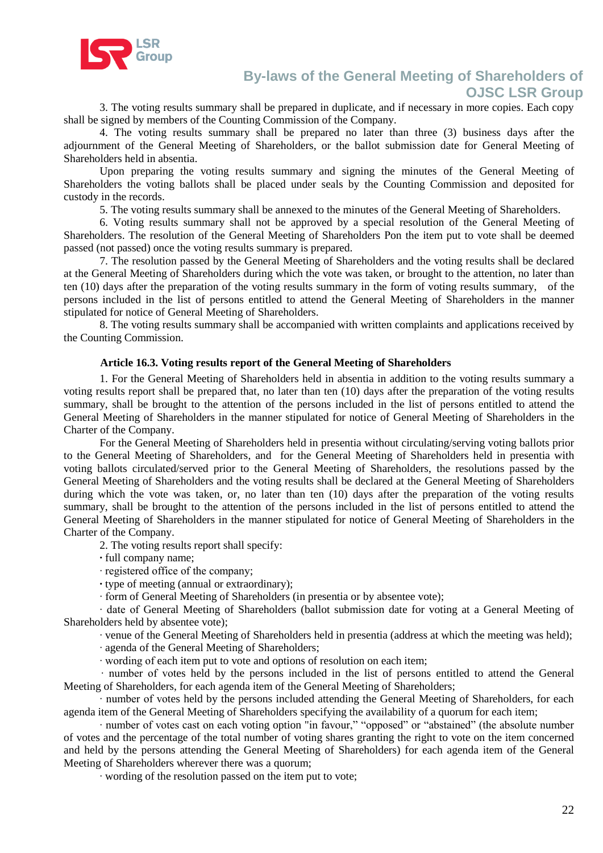

3. The voting results summary shall be prepared in duplicate, and if necessary in more copies. Each copy shall be signed by members of the Counting Commission of the Company.

4. The voting results summary shall be prepared no later than three (3) business days after the adjournment of the General Meeting of Shareholders, or the ballot submission date for General Meeting of Shareholders held in absentia.

Upon preparing the voting results summary and signing the minutes of the General Meeting of Shareholders the voting ballots shall be placed under seals by the Counting Commission and deposited for custody in the records.

5. The voting results summary shall be annexed to the minutes of the General Meeting of Shareholders.

6. Voting results summary shall not be approved by a special resolution of the General Meeting of Shareholders. The resolution of the General Meeting of Shareholders Рon the item put to vote shall be deemed passed (not passed) once the voting results summary is prepared.

7. The resolution passed by the General Meeting of Shareholders and the voting results shall be declared at the General Meeting of Shareholders during which the vote was taken, or brought to the attention, no later than ten (10) days after the preparation of the voting results summary in the form of voting results summary, of the persons included in the list of persons entitled to attend the General Meeting of Shareholders in the manner stipulated for notice of General Meeting of Shareholders.

8. The voting results summary shall be accompanied with written complaints and applications received by the Counting Commission.

#### **Article 16.3. Voting results report of the General Meeting of Shareholders**

1. For the General Meeting of Shareholders held in absentia in addition to the voting results summary a voting results report shall be prepared that, no later than ten (10) days after the preparation of the voting results summary, shall be brought to the attention of the persons included in the list of persons entitled to attend the General Meeting of Shareholders in the manner stipulated for notice of General Meeting of Shareholders in the Charter of the Company.

For the General Meeting of Shareholders held in presentia without circulating/serving voting ballots prior to the General Meeting of Shareholders, and for the General Meeting of Shareholders held in presentia with voting ballots circulated/served prior to the General Meeting of Shareholders, the resolutions passed by the General Meeting of Shareholders and the voting results shall be declared at the General Meeting of Shareholders during which the vote was taken, or, no later than ten (10) days after the preparation of the voting results summary, shall be brought to the attention of the persons included in the list of persons entitled to attend the General Meeting of Shareholders in the manner stipulated for notice of General Meeting of Shareholders in the Charter of the Company.

2. The voting results report shall specify:

**·** full company name;

· registered office of the company;

**·** type of meeting (annual or extraordinary);

· form of General Meeting of Shareholders (in presentia or by absentee vote);

· date of General Meeting of Shareholders (ballot submission date for voting at a General Meeting of Shareholders held by absentee vote);

· venue of the General Meeting of Shareholders held in presentia (address at which the meeting was held);

· agenda of the General Meeting of Shareholders;

· wording of each item put to vote and options of resolution on each item;

· number of votes held by the persons included in the list of persons entitled to attend the General Meeting of Shareholders, for each agenda item of the General Meeting of Shareholders;

number of votes held by the persons included attending the General Meeting of Shareholders, for each agenda item of the General Meeting of Shareholders specifying the availability of a quorum for each item;

· number of votes cast on each voting option "in favour," "opposed" or "abstained" (the absolute number of votes and the percentage of the total number of voting shares granting the right to vote on the item concerned and held by the persons attending the General Meeting of Shareholders) for each agenda item of the General Meeting of Shareholders wherever there was a quorum;

· wording of the resolution passed on the item put to vote;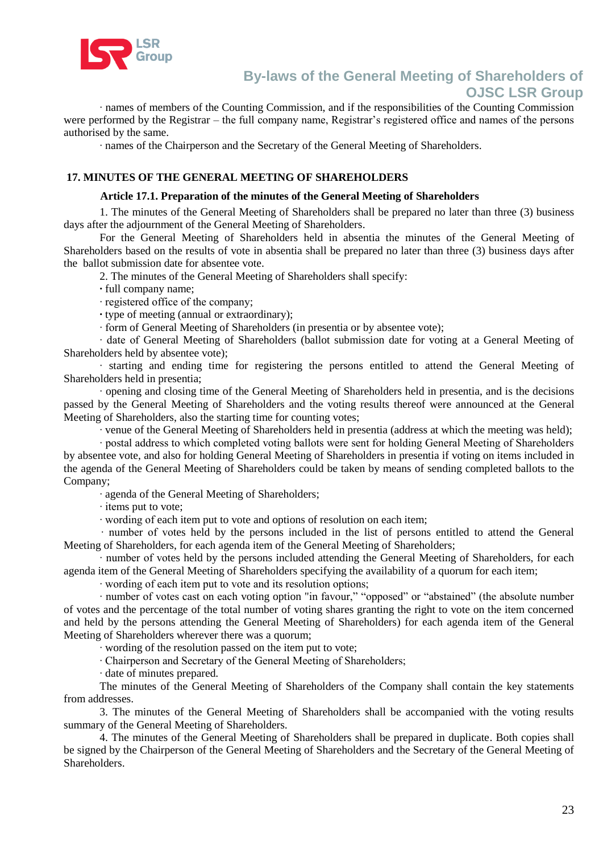

· names of members of the Counting Commission, and if the responsibilities of the Counting Commission were performed by the Registrar – the full company name, Registrar's registered office and names of the persons authorised by the same.

· names of the Chairperson and the Secretary of the General Meeting of Shareholders.

### **17. MINUTES OF THE GENERAL MEETING OF SHAREHOLDERS**

#### **Article 17.1. Preparation of the minutes of the General Meeting of Shareholders**

1. The minutes of the General Meeting of Shareholders shall be prepared no later than three (3) business days after the adjournment of the General Meeting of Shareholders.

For the General Meeting of Shareholders held in absentia the minutes of the General Meeting of Shareholders based on the results of vote in absentia shall be prepared no later than three (3) business days after the ballot submission date for absentee vote.

2. The minutes of the General Meeting of Shareholders shall specify:

**·** full company name;

· registered office of the company;

**·** type of meeting (annual or extraordinary);

· form of General Meeting of Shareholders (in presentia or by absentee vote);

· date of General Meeting of Shareholders (ballot submission date for voting at a General Meeting of Shareholders held by absentee vote);

· starting and ending time for registering the persons entitled to attend the General Meeting of Shareholders held in presentia;

· opening and closing time of the General Meeting of Shareholders held in presentia, and is the decisions passed by the General Meeting of Shareholders and the voting results thereof were announced at the General Meeting of Shareholders, also the starting time for counting votes;

· venue of the General Meeting of Shareholders held in presentia (address at which the meeting was held);

· postal address to which completed voting ballots were sent for holding General Meeting of Shareholders by absentee vote, and also for holding General Meeting of Shareholders in presentia if voting on items included in the agenda of the General Meeting of Shareholders could be taken by means of sending completed ballots to the Company;

· agenda of the General Meeting of Shareholders;

· items put to vote;

· wording of each item put to vote and options of resolution on each item;

· number of votes held by the persons included in the list of persons entitled to attend the General Meeting of Shareholders, for each agenda item of the General Meeting of Shareholders;

· number of votes held by the persons included attending the General Meeting of Shareholders, for each agenda item of the General Meeting of Shareholders specifying the availability of a quorum for each item;

· wording of each item put to vote and its resolution options;

· number of votes cast on each voting option "in favour," "opposed" or "abstained" (the absolute number of votes and the percentage of the total number of voting shares granting the right to vote on the item concerned and held by the persons attending the General Meeting of Shareholders) for each agenda item of the General Meeting of Shareholders wherever there was a quorum;

· wording of the resolution passed on the item put to vote;

· Chairperson and Secretary of the General Meeting of Shareholders;

· date of minutes prepared.

The minutes of the General Meeting of Shareholders of the Company shall contain the key statements from addresses.

3. The minutes of the General Meeting of Shareholders shall be accompanied with the voting results summary of the General Meeting of Shareholders.

4. The minutes of the General Meeting of Shareholders shall be prepared in duplicate. Both copies shall be signed by the Chairperson of the General Meeting of Shareholders and the Secretary of the General Meeting of Shareholders.